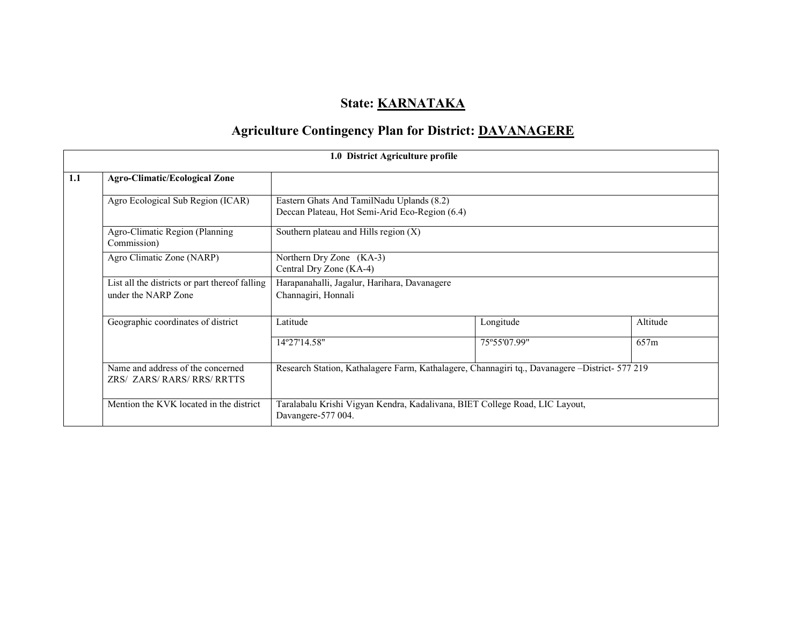# State: **KARNATAKA**

# Agriculture Contingency Plan for District: DAVANAGERE

|     |                                                                       | 1.0 District Agriculture profile                                                                  |              |          |  |  |  |
|-----|-----------------------------------------------------------------------|---------------------------------------------------------------------------------------------------|--------------|----------|--|--|--|
| 1.1 | <b>Agro-Climatic/Ecological Zone</b>                                  |                                                                                                   |              |          |  |  |  |
|     | Agro Ecological Sub Region (ICAR)                                     | Eastern Ghats And TamilNadu Uplands (8.2)<br>Deccan Plateau, Hot Semi-Arid Eco-Region (6.4)       |              |          |  |  |  |
|     | Agro-Climatic Region (Planning<br>Commission)                         | Southern plateau and Hills region $(X)$                                                           |              |          |  |  |  |
|     | Agro Climatic Zone (NARP)                                             | Northern Dry Zone (KA-3)<br>Central Dry Zone (KA-4)                                               |              |          |  |  |  |
|     | List all the districts or part thereof falling<br>under the NARP Zone | Harapanahalli, Jagalur, Harihara, Davanagere<br>Channagiri, Honnali                               |              |          |  |  |  |
|     | Geographic coordinates of district                                    | Latitude                                                                                          | Longitude    | Altitude |  |  |  |
|     |                                                                       | 14°27'14.58"                                                                                      | 75°55'07.99" | 657m     |  |  |  |
|     | Name and address of the concerned<br>ZRS/ ZARS/ RARS/ RRS/ RRTTS      | Research Station, Kathalagere Farm, Kathalagere, Channagiri tq., Davanagere -District- 577 219    |              |          |  |  |  |
|     | Mention the KVK located in the district                               | Taralabalu Krishi Vigyan Kendra, Kadalivana, BIET College Road, LIC Layout,<br>Davangere-577 004. |              |          |  |  |  |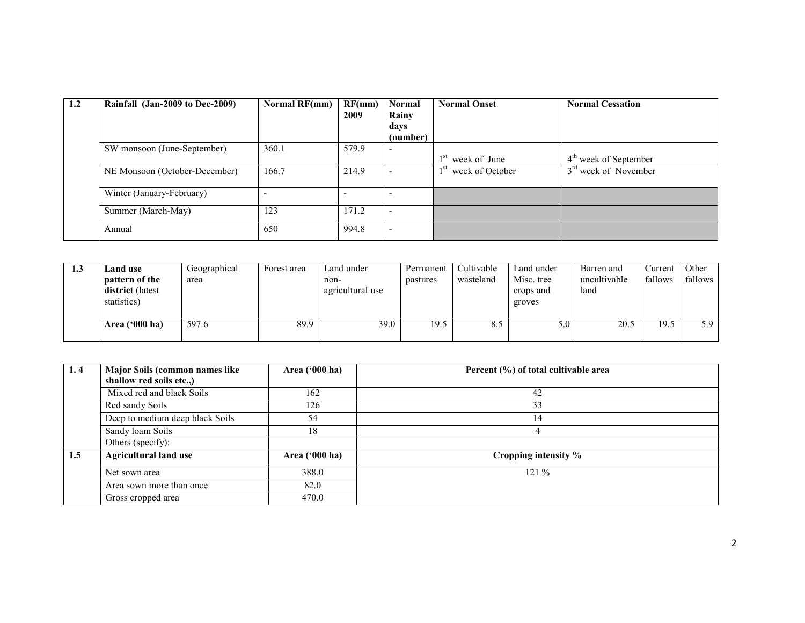| 1.2 | Rainfall (Jan-2009 to Dec-2009) | <b>Normal RF(mm)</b> | RF(mm)<br>2009 | <b>Normal</b><br>Rainy   | <b>Normal Onset</b>             | <b>Normal Cessation</b>          |
|-----|---------------------------------|----------------------|----------------|--------------------------|---------------------------------|----------------------------------|
|     |                                 |                      |                | days                     |                                 |                                  |
|     |                                 |                      |                | (number)                 |                                 |                                  |
|     | SW monsoon (June-September)     | 360.1                | 579.9          |                          |                                 |                                  |
|     |                                 |                      |                |                          | $1st$ week of June              | $4th$ week of September          |
|     | NE Monsoon (October-December)   | 166.7                | 214.9          |                          | 1 <sup>st</sup> week of October | 3 <sup>rd</sup> week of November |
|     | Winter (January-February)       |                      |                | -                        |                                 |                                  |
|     | Summer (March-May)              | 123                  | 171.2          | $\overline{\phantom{0}}$ |                                 |                                  |
|     | Annual                          | 650                  | 994.8          | $\overline{\phantom{0}}$ |                                 |                                  |

| 1.3 | Land use<br>pattern of the<br><b>district</b> (latest<br>statistics) | Geographical<br>area | Forest area | Land under<br>non-<br>agricultural use | Permanent<br>pastures | Cultivable<br>wasteland | Land under<br>Misc. tree<br>crops and<br>groves | Barren and<br>uncultivable<br>land | Current<br>fallows | Other<br>fallows |
|-----|----------------------------------------------------------------------|----------------------|-------------|----------------------------------------|-----------------------|-------------------------|-------------------------------------------------|------------------------------------|--------------------|------------------|
|     | Area $('000 ha)$                                                     | 597.6                | 89.9        | 39.0                                   | 19.5                  | 8.5                     | 5.0                                             | 20.5                               | 19.5               | 5.9              |

| 1.4 | Major Soils (common names like<br>shallow red soils etc.,) | Area ('000 ha) | Percent (%) of total cultivable area |
|-----|------------------------------------------------------------|----------------|--------------------------------------|
|     |                                                            |                |                                      |
|     | Mixed red and black Soils                                  | 162            | 42                                   |
|     | Red sandy Soils                                            | 126            | 33                                   |
|     | Deep to medium deep black Soils                            | 54             | 14                                   |
|     | Sandy loam Soils                                           | 18             |                                      |
|     | Others (specify):                                          |                |                                      |
| 1.5 | <b>Agricultural land use</b>                               | Area ('000 ha) | Cropping intensity %                 |
|     | Net sown area                                              | 388.0          | $121\%$                              |
|     | Area sown more than once                                   | 82.0           |                                      |
|     | Gross cropped area                                         | 470.0          |                                      |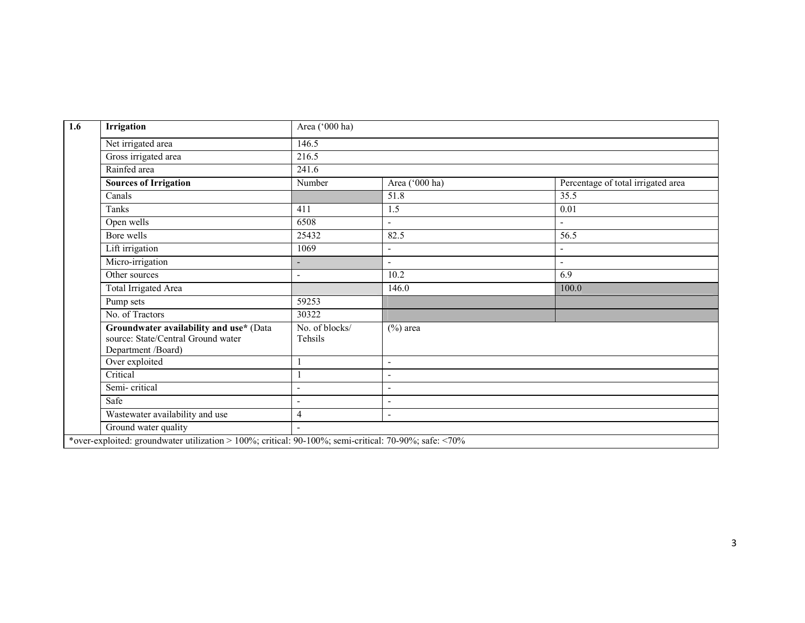| Irrigation                                                                                          | Area ('000 ha)            |                          |                                    |
|-----------------------------------------------------------------------------------------------------|---------------------------|--------------------------|------------------------------------|
| Net irrigated area                                                                                  | 146.5                     |                          |                                    |
| Gross irrigated area                                                                                | 216.5                     |                          |                                    |
| Rainfed area                                                                                        | 241.6                     |                          |                                    |
| <b>Sources of Irrigation</b>                                                                        | Number                    | Area ('000 ha)           | Percentage of total irrigated area |
| Canals                                                                                              |                           | 51.8                     | 35.5                               |
| Tanks                                                                                               | 411                       | 1.5                      | 0.01                               |
| Open wells                                                                                          | 6508                      |                          | $\blacksquare$                     |
| Bore wells                                                                                          | 25432                     | 82.5                     | 56.5                               |
| Lift irrigation                                                                                     | 1069                      | $\blacksquare$           |                                    |
| Micro-irrigation                                                                                    |                           |                          | $\blacksquare$                     |
| Other sources                                                                                       | ۰                         | 10.2                     | 6.9                                |
| Total Irrigated Area                                                                                |                           | 146.0                    | 100.0                              |
| Pump sets                                                                                           | 59253                     |                          |                                    |
| No. of Tractors                                                                                     | 30322                     |                          |                                    |
| Groundwater availability and use* (Data<br>source: State/Central Ground water<br>Department /Board) | No. of blocks/<br>Tehsils | $(\%)$ area              |                                    |
| Over exploited                                                                                      |                           | $\blacksquare$           |                                    |
| Critical                                                                                            |                           |                          |                                    |
| Semi-critical                                                                                       | $\overline{a}$            | $\overline{\phantom{a}}$ |                                    |
| Safe                                                                                                | $\overline{\phantom{a}}$  | $\overline{\phantom{a}}$ |                                    |
| Wastewater availability and use                                                                     | 4                         | $\blacksquare$           |                                    |
| Ground water quality                                                                                | $\overline{a}$            |                          |                                    |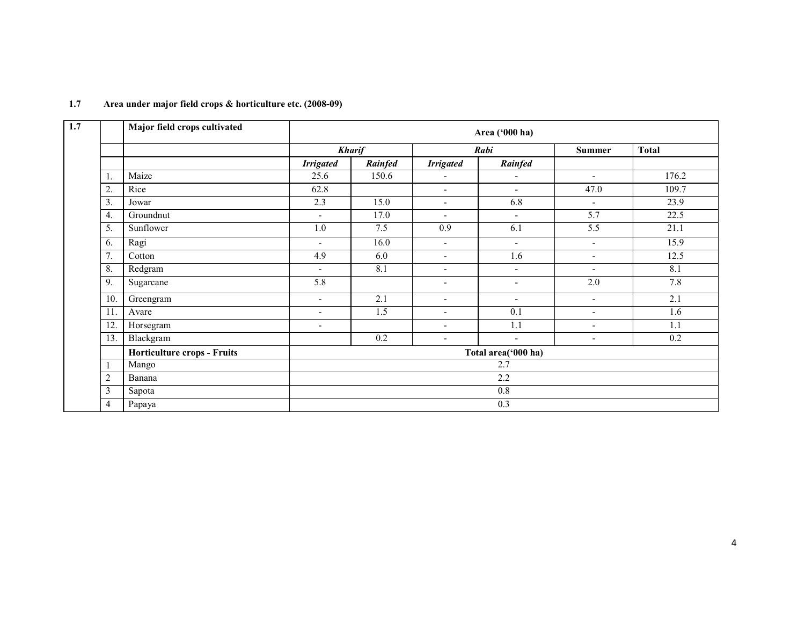|                  | Major field crops cultivated       |                          | Area ('000 ha) |                          |                          |                          |                  |  |  |  |  |
|------------------|------------------------------------|--------------------------|----------------|--------------------------|--------------------------|--------------------------|------------------|--|--|--|--|
|                  |                                    |                          | <b>Kharif</b>  |                          | Rabi                     | <b>Summer</b>            | <b>Total</b>     |  |  |  |  |
|                  |                                    | <b>Irrigated</b>         | Rainfed        | <b>Irrigated</b>         | Rainfed                  |                          |                  |  |  |  |  |
| 1.               | Maize                              | 25.6                     | 150.6          | $\overline{\phantom{a}}$ | $\overline{\phantom{a}}$ | $\overline{\phantom{a}}$ | 176.2            |  |  |  |  |
| $\overline{2}$ . | Rice                               | 62.8                     |                | $\overline{\phantom{a}}$ | $\blacksquare$           | 47.0                     | 109.7            |  |  |  |  |
| 3.               | Jowar                              | 2.3                      | 15.0           | $\overline{\phantom{a}}$ | 6.8                      | $\overline{\phantom{a}}$ | 23.9             |  |  |  |  |
| 4.               | Groundnut                          | $\overline{\phantom{a}}$ | 17.0           | $\overline{\phantom{a}}$ | $\blacksquare$           | 5.7                      | 22.5             |  |  |  |  |
| 5.               | Sunflower                          | 1.0                      | 7.5            | 0.9                      | 6.1                      | 5.5                      | 21.1             |  |  |  |  |
| 6.               | Ragi                               | $\overline{\phantom{a}}$ | 16.0           | $\overline{\phantom{a}}$ | $\blacksquare$           | $\overline{\phantom{a}}$ | 15.9             |  |  |  |  |
| 7.               | Cotton                             | 4.9                      | 6.0            | $\overline{\phantom{a}}$ | 1.6                      | $\overline{\phantom{a}}$ | 12.5             |  |  |  |  |
| 8.               | Redgram                            | $\blacksquare$           | 8.1            | $\overline{\phantom{a}}$ | $\blacksquare$           | $\overline{\phantom{a}}$ | 8.1              |  |  |  |  |
| 9.               | Sugarcane                          | 5.8                      |                | $\blacksquare$           | $\blacksquare$           | 2.0                      | 7.8              |  |  |  |  |
| 10.              | Greengram                          | $\overline{\phantom{a}}$ | 2.1            | $\overline{\phantom{a}}$ | $\blacksquare$           | $\overline{\phantom{a}}$ | $\overline{2.1}$ |  |  |  |  |
| 11.              | Avare                              | $\blacksquare$           | 1.5            | $\blacksquare$           | 0.1                      | $\overline{\phantom{a}}$ | 1.6              |  |  |  |  |
| 12.              | Horsegram                          | $\blacksquare$           |                | $\overline{\phantom{a}}$ | 1.1                      | $\overline{\phantom{a}}$ | 1.1              |  |  |  |  |
| 13.              | Blackgram                          |                          | 0.2            | $\overline{\phantom{a}}$ | $\blacksquare$           | $\overline{\phantom{a}}$ | 0.2              |  |  |  |  |
|                  | <b>Horticulture crops - Fruits</b> |                          |                |                          | Total area('000 ha)      |                          |                  |  |  |  |  |
|                  | Mango                              |                          |                |                          | 2.7                      |                          |                  |  |  |  |  |
| $\overline{c}$   | Banana                             | 2.2                      |                |                          |                          |                          |                  |  |  |  |  |
| 3                | Sapota                             |                          |                |                          | $0.8\,$                  |                          |                  |  |  |  |  |
| $\overline{4}$   | Papaya                             |                          |                |                          | 0.3                      |                          |                  |  |  |  |  |

# 1.7 Area under major field crops & horticulture etc. (2008-09)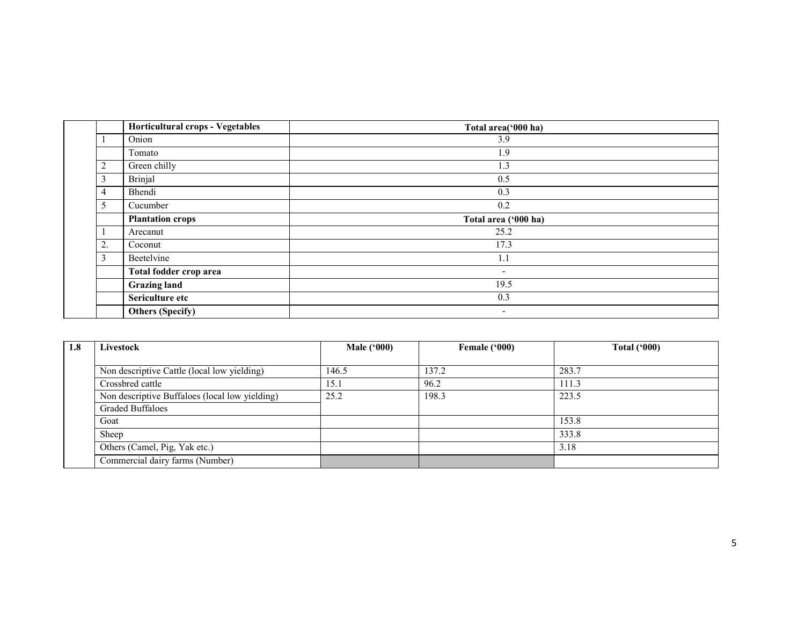|                | Horticultural crops - Vegetables | Total area('000 ha)      |
|----------------|----------------------------------|--------------------------|
|                | Onion                            | 3.9                      |
|                | Tomato                           | 1.9                      |
| $\overline{2}$ | Green chilly                     | 1.3                      |
| 3              | Brinjal                          | 0.5                      |
| $\overline{4}$ | Bhendi                           | 0.3                      |
| 5              | Cucumber                         | 0.2                      |
|                | <b>Plantation crops</b>          | Total area ('000 ha)     |
|                | Arecanut                         | 25.2                     |
| 2.             | Coconut                          | 17.3                     |
| 3              | Beetelvine                       | 1.1                      |
|                | Total fodder crop area           | $\overline{\phantom{a}}$ |
|                | <b>Grazing land</b>              | 19.5                     |
|                | Sericulture etc                  | 0.3                      |
|                | <b>Others (Specify)</b>          | $\overline{\phantom{a}}$ |

| 1.8 | Livestock                                      | <b>Male</b> ('000) | Female ('000) | <b>Total ('000)</b> |
|-----|------------------------------------------------|--------------------|---------------|---------------------|
|     |                                                |                    |               |                     |
|     | Non descriptive Cattle (local low yielding)    | 146.5              | 137.2         | 283.7               |
|     | Crossbred cattle                               | 15.1               | 96.2          | 111.3               |
|     | Non descriptive Buffaloes (local low yielding) | 25.2               | 198.3         | 223.5               |
|     | <b>Graded Buffaloes</b>                        |                    |               |                     |
|     | Goat                                           |                    |               | 153.8               |
|     | Sheep                                          |                    |               | 333.8               |
|     | Others (Camel, Pig, Yak etc.)                  |                    |               | 3.18                |
|     | Commercial dairy farms (Number)                |                    |               |                     |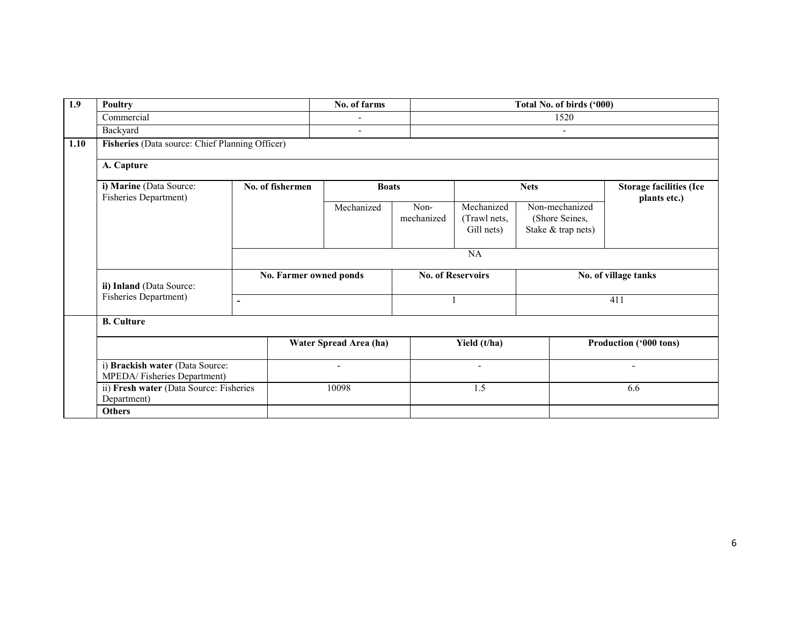| 1.9  | <b>Poultry</b>                                                 |                  |                        | No. of farms             |                          | Total No. of birds ('000)                |                                                        |                          |  |  |  |
|------|----------------------------------------------------------------|------------------|------------------------|--------------------------|--------------------------|------------------------------------------|--------------------------------------------------------|--------------------------|--|--|--|
|      | Commercial                                                     |                  |                        |                          |                          | 1520                                     |                                                        |                          |  |  |  |
|      | Backyard                                                       |                  |                        | $\overline{\phantom{a}}$ |                          | $\overline{\phantom{0}}$                 |                                                        |                          |  |  |  |
| 1.10 | Fisheries (Data source: Chief Planning Officer)                |                  |                        |                          |                          |                                          |                                                        |                          |  |  |  |
|      | A. Capture                                                     |                  |                        |                          |                          |                                          |                                                        |                          |  |  |  |
|      | i) Marine (Data Source:<br>Fisheries Department)               | No. of fishermen |                        | <b>Boats</b>             |                          |                                          | <b>Storage facilities (Ice</b><br>plants etc.)         |                          |  |  |  |
|      |                                                                |                  |                        | Mechanized               | Non-<br>mechanized       | Mechanized<br>(Trawl nets,<br>Gill nets) | Non-mechanized<br>(Shore Seines,<br>Stake & trap nets) |                          |  |  |  |
|      |                                                                | NA               |                        |                          |                          |                                          |                                                        |                          |  |  |  |
|      | ii) Inland (Data Source:                                       |                  | No. Farmer owned ponds |                          | <b>No. of Reservoirs</b> |                                          |                                                        | No. of village tanks     |  |  |  |
|      | Fisheries Department)                                          | $\blacksquare$   |                        |                          |                          |                                          |                                                        | 411                      |  |  |  |
|      | <b>B.</b> Culture                                              |                  |                        |                          |                          |                                          |                                                        |                          |  |  |  |
|      |                                                                |                  |                        | Water Spread Area (ha)   |                          | Yield (t/ha)                             |                                                        | Production ('000 tons)   |  |  |  |
|      | i) Brackish water (Data Source:<br>MPEDA/Fisheries Department) |                  |                        | $\overline{\phantom{a}}$ |                          | $\overline{\phantom{a}}$                 |                                                        | $\overline{\phantom{a}}$ |  |  |  |
|      | ii) Fresh water (Data Source: Fisheries<br>Department)         |                  |                        | 10098                    |                          | 1.5                                      |                                                        | 6.6                      |  |  |  |
|      | <b>Others</b>                                                  |                  |                        |                          |                          |                                          |                                                        |                          |  |  |  |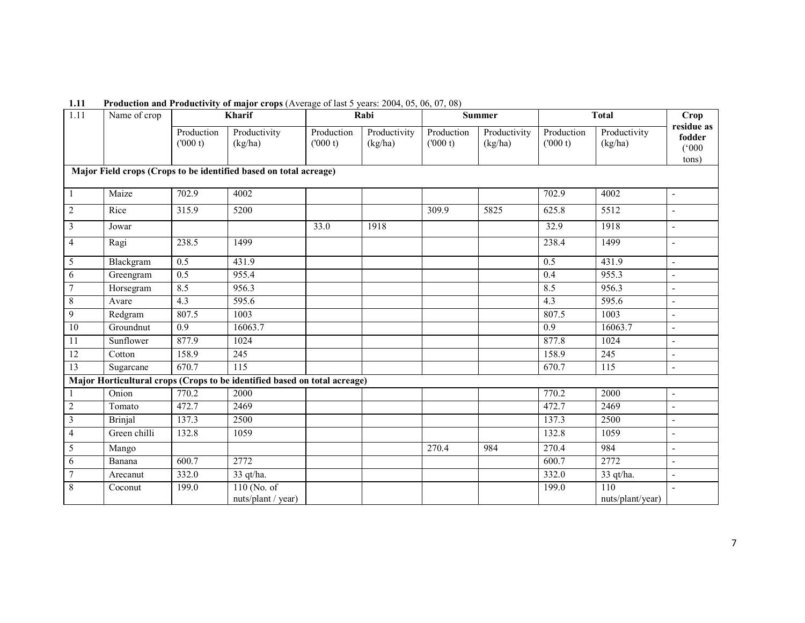| $\overline{1.11}$                                                 | Name of crop   |                       | Kharif                                                                    |                       | Rabi                    |                       | <b>Summer</b>           |                       | <b>Total</b>            | <b>Crop</b>                            |
|-------------------------------------------------------------------|----------------|-----------------------|---------------------------------------------------------------------------|-----------------------|-------------------------|-----------------------|-------------------------|-----------------------|-------------------------|----------------------------------------|
|                                                                   |                | Production<br>(000 t) | Productivity<br>(kg/ha)                                                   | Production<br>(000 t) | Productivity<br>(kg/ha) | Production<br>(000 t) | Productivity<br>(kg/ha) | Production<br>(000 t) | Productivity<br>(kg/ha) | residue as<br>fodder<br>(000)<br>tons) |
| Major Field crops (Crops to be identified based on total acreage) |                |                       |                                                                           |                       |                         |                       |                         |                       |                         |                                        |
|                                                                   | Maize          | 702.9                 | 4002                                                                      |                       |                         |                       |                         | 702.9                 | 4002                    | $\blacksquare$                         |
| $\overline{2}$                                                    | Rice           | 315.9                 | 5200                                                                      |                       |                         | 309.9                 | 5825                    | 625.8                 | 5512                    | $\overline{\phantom{a}}$               |
| $\mathfrak{Z}$                                                    | Jowar          |                       |                                                                           | 33.0                  | 1918                    |                       |                         | 32.9                  | 1918                    | $\blacksquare$                         |
| $\overline{4}$                                                    | Ragi           | 238.5                 | 1499                                                                      |                       |                         |                       |                         | 238.4                 | 1499                    | $\overline{\phantom{a}}$               |
| 5                                                                 | Blackgram      | $\overline{0.5}$      | 431.9                                                                     |                       |                         |                       |                         | 0.5                   | 431.9                   | $\blacksquare$                         |
| 6                                                                 | Greengram      | $\overline{0.5}$      | 955.4                                                                     |                       |                         |                       |                         | 0.4                   | 955.3                   | $\blacksquare$                         |
| $\overline{7}$                                                    | Horsegram      | 8.5                   | 956.3                                                                     |                       |                         |                       |                         | 8.5                   | 956.3                   | $\blacksquare$                         |
| 8                                                                 | Avare          | $\overline{4.3}$      | 595.6                                                                     |                       |                         |                       |                         | $\overline{4.3}$      | 595.6                   | $\blacksquare$                         |
| $\mathbf{9}$                                                      | Redgram        | 807.5                 | 1003                                                                      |                       |                         |                       |                         | 807.5                 | 1003                    | $\overline{a}$                         |
| 10                                                                | Groundnut      | 0.9                   | 16063.7                                                                   |                       |                         |                       |                         | 0.9                   | 16063.7                 | $\blacksquare$                         |
| 11                                                                | Sunflower      | 877.9                 | 1024                                                                      |                       |                         |                       |                         | 877.8                 | 1024                    | $\blacksquare$                         |
| 12                                                                | Cotton         | 158.9                 | 245                                                                       |                       |                         |                       |                         | 158.9                 | 245                     | $\blacksquare$                         |
| 13                                                                | Sugarcane      | 670.7                 | $\overline{115}$                                                          |                       |                         |                       |                         | 670.7                 | 115                     | $\overline{a}$                         |
|                                                                   |                |                       | Major Horticultural crops (Crops to be identified based on total acreage) |                       |                         |                       |                         |                       |                         |                                        |
|                                                                   | Onion          | 770.2                 | 2000                                                                      |                       |                         |                       |                         | 770.2                 | 2000                    | $\overline{\phantom{a}}$               |
| $\sqrt{2}$                                                        | Tomato         | 472.7                 | 2469                                                                      |                       |                         |                       |                         | 472.7                 | 2469                    | $\overline{\phantom{a}}$               |
| $\overline{\mathbf{3}}$                                           | <b>Brinjal</b> | 137.3                 | 2500                                                                      |                       |                         |                       |                         | 137.3                 | 2500                    | $\overline{\phantom{a}}$               |
| $\overline{4}$                                                    | Green chilli   | 132.8                 | 1059                                                                      |                       |                         |                       |                         | 132.8                 | 1059                    | $\blacksquare$                         |
| 5                                                                 | Mango          |                       |                                                                           |                       |                         | 270.4                 | 984                     | 270.4                 | 984                     | $\mathbf{r}$                           |
| 6                                                                 | Banana         | 600.7                 | 2772                                                                      |                       |                         |                       |                         | 600.7                 | 2772                    | $\overline{a}$                         |
| 7                                                                 | Arecanut       | 332.0                 | 33 qt/ha.                                                                 |                       |                         |                       |                         | 332.0                 | 33 qt/ha.               | $\overline{\phantom{a}}$               |
| $\,$ 8 $\,$                                                       | Coconut        | 199.0                 | $110$ (No. of                                                             |                       |                         |                       |                         | 199.0                 | 110                     | $\overline{\phantom{a}}$               |
|                                                                   |                |                       | nuts/plant / year)                                                        |                       |                         |                       |                         |                       | nuts/plant/year)        |                                        |

1.11 Production and Productivity of major crops (Average of last 5 years: 2004, 05, 06, 07, 08)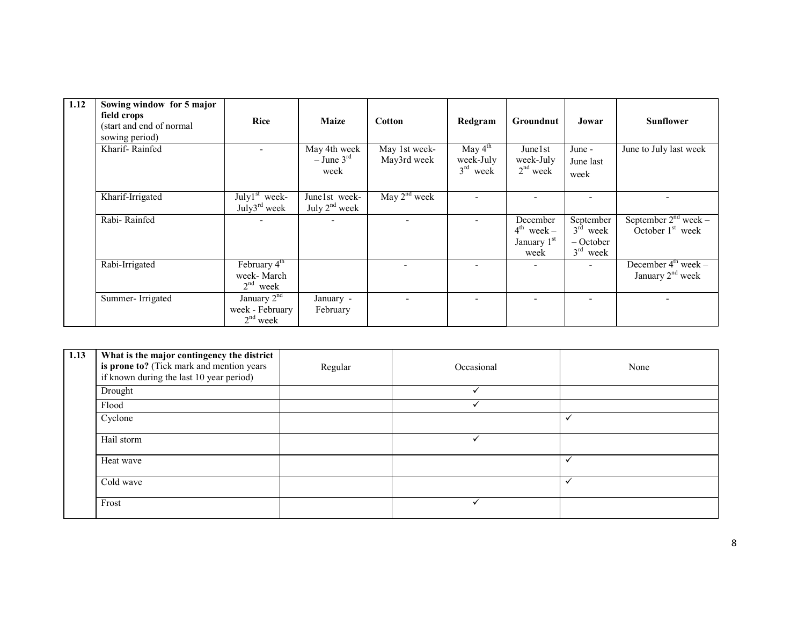| $\overline{1.12}$ | Sowing window for 5 major<br>field crops<br>(start and end of normal<br>sowing period) | <b>Rice</b>                                                                 | <b>Maize</b>                                     | <b>Cotton</b>                | Redgram                                        | Groundnut                                          | Jowar                                                          | <b>Sunflower</b>                                      |
|-------------------|----------------------------------------------------------------------------------------|-----------------------------------------------------------------------------|--------------------------------------------------|------------------------------|------------------------------------------------|----------------------------------------------------|----------------------------------------------------------------|-------------------------------------------------------|
|                   | Kharif-Rainfed                                                                         |                                                                             | May 4th week<br>$-$ June 3 <sup>rd</sup><br>week | May 1st week-<br>May3rd week | May $4^{\text{th}}$<br>week-July<br>$3rd$ week | June 1 st<br>week-July<br>$2nd$ week               | June -<br>June last<br>week                                    | June to July last week                                |
|                   | Kharif-Irrigated                                                                       | $\overline{\mathrm{July}1^{\mathrm{st}}}$ week-<br>July3 <sup>rd</sup> week | June1st week-<br>July $2nd$ week                 | May $2nd$ week               |                                                |                                                    |                                                                |                                                       |
|                   | Rabi-Rainfed                                                                           |                                                                             |                                                  |                              |                                                | December<br>$4^{th}$ week –<br>January 1st<br>week | September<br>$3^{\text{rd}}$ week<br>$-$ October<br>$3rd$ week | September $2nd$ week –<br>October $1st$ week          |
|                   | Rabi-Irrigated                                                                         | February 4 <sup>th</sup><br>week- March<br>$2nd$ week                       |                                                  |                              |                                                | -                                                  |                                                                | December $4^{\text{th}}$ week –<br>January $2nd$ week |
|                   | Summer-Irrigated                                                                       | January $2^{nd}$<br>week - February<br>$2nd$ week                           | January -<br>February                            |                              |                                                |                                                    |                                                                |                                                       |

| 1.13 | What is the major contingency the district<br>is prone to? (Tick mark and mention years<br>if known during the last 10 year period) | Regular | Occasional | None         |
|------|-------------------------------------------------------------------------------------------------------------------------------------|---------|------------|--------------|
|      | Drought                                                                                                                             |         |            |              |
|      | Flood                                                                                                                               |         |            |              |
|      | Cyclone                                                                                                                             |         |            | $\checkmark$ |
|      | Hail storm                                                                                                                          |         |            |              |
|      | Heat wave                                                                                                                           |         |            |              |
|      | Cold wave                                                                                                                           |         |            | ✓            |
|      | Frost                                                                                                                               |         |            |              |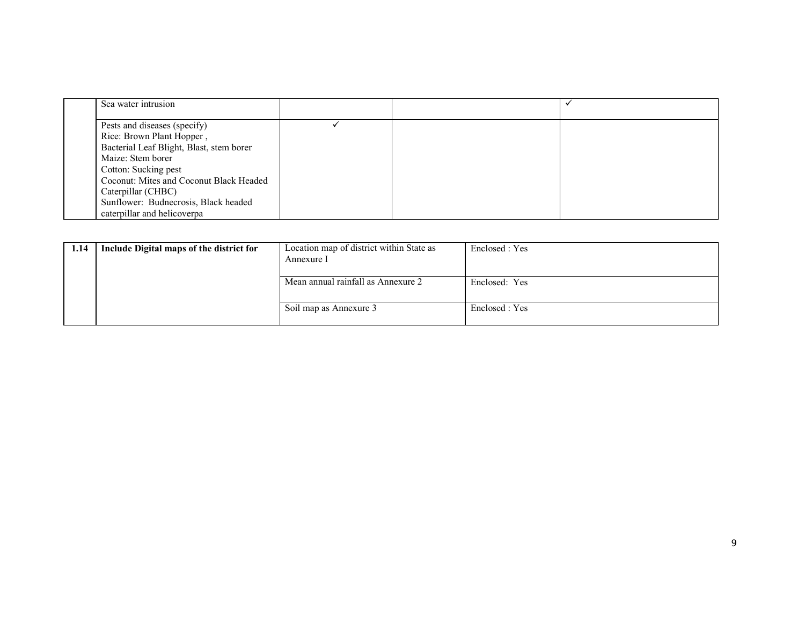| Sea water intrusion                      |  |  |
|------------------------------------------|--|--|
| Pests and diseases (specify)             |  |  |
| Rice: Brown Plant Hopper,                |  |  |
| Bacterial Leaf Blight, Blast, stem borer |  |  |
| Maize: Stem borer                        |  |  |
| Cotton: Sucking pest                     |  |  |
| Coconut: Mites and Coconut Black Headed  |  |  |
| Caterpillar (CHBC)                       |  |  |
| Sunflower: Budnecrosis, Black headed     |  |  |
| caterpillar and helicoverpa              |  |  |

| 1.14 | Include Digital maps of the district for | Location map of district within State as<br>Annexure I | Enclosed : Yes |
|------|------------------------------------------|--------------------------------------------------------|----------------|
|      |                                          | Mean annual rainfall as Annexure 2                     | Enclosed: Yes  |
|      |                                          | Soil map as Annexure 3                                 | Enclosed : Yes |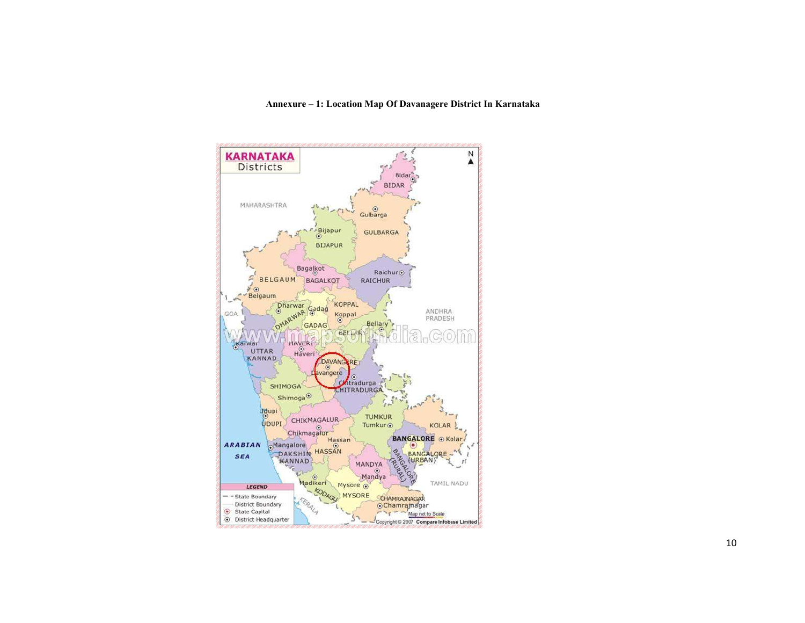#### Annexure – 1: Location Map Of Davanagere District In Karnataka

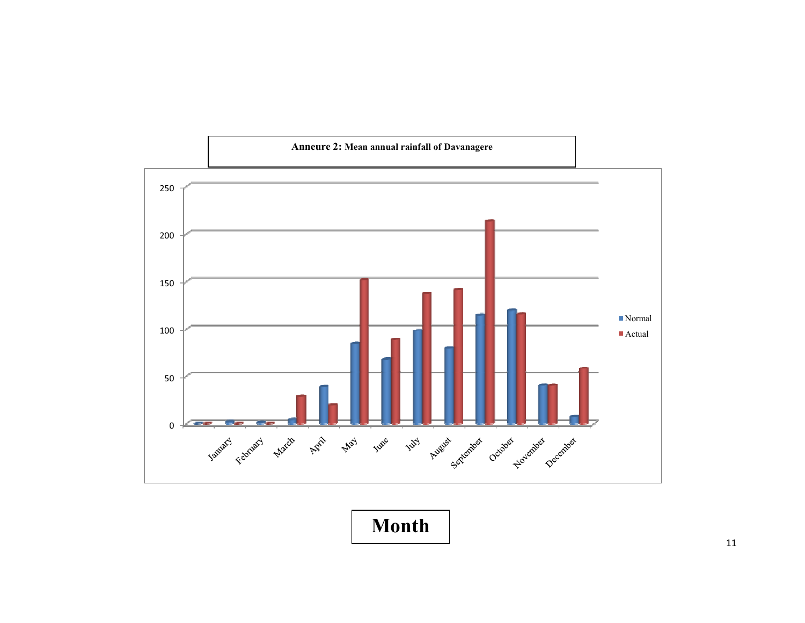

Month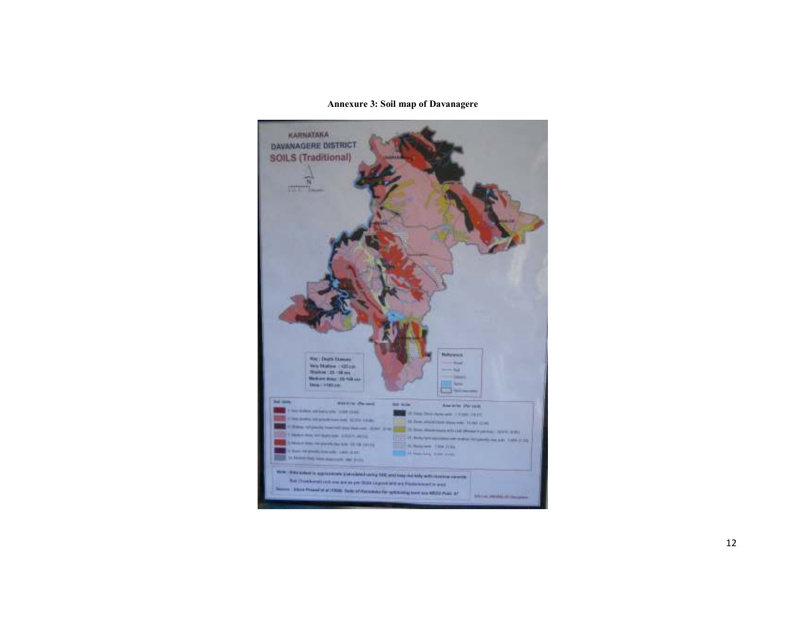#### Annexure 3: Soil map of Davanagere

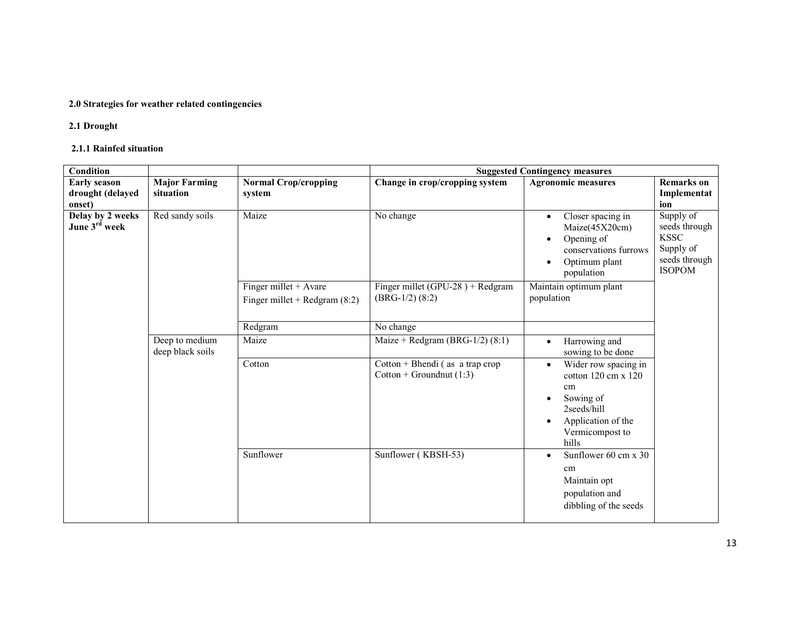# 2.0 Strategies for weather related contingencies

# 2.1 Drought

#### 2.1.1 Rainfed situation

| Condition                                         |                                    |                                                          | <b>Suggested Contingency measures</b>                           |                                                                                                                                                             |                                                                                          |  |
|---------------------------------------------------|------------------------------------|----------------------------------------------------------|-----------------------------------------------------------------|-------------------------------------------------------------------------------------------------------------------------------------------------------------|------------------------------------------------------------------------------------------|--|
| <b>Early season</b><br>drought (delayed<br>onset) | <b>Major Farming</b><br>situation  | <b>Normal Crop/cropping</b><br>system                    | Change in crop/cropping system                                  | <b>Agronomic measures</b>                                                                                                                                   | <b>Remarks</b> on<br>Implementat<br>ion                                                  |  |
| Delay by 2 weeks<br>June 3rd week                 | Red sandy soils                    | Maize                                                    | No change                                                       | Closer spacing in<br>$\bullet$<br>Maize(45X20cm)<br>Opening of<br>$\bullet$<br>conservations furrows<br>Optimum plant<br>population                         | Supply of<br>seeds through<br><b>KSSC</b><br>Supply of<br>seeds through<br><b>ISOPOM</b> |  |
|                                                   |                                    | Finger millet + Avare<br>Finger millet + Redgram $(8:2)$ | Finger millet (GPU-28) + Redgram<br>$(BRG-1/2)$ $(8:2)$         | Maintain optimum plant<br>population                                                                                                                        |                                                                                          |  |
|                                                   |                                    | Redgram                                                  | No change                                                       |                                                                                                                                                             |                                                                                          |  |
|                                                   | Deep to medium<br>deep black soils | Maize                                                    | Maize + Redgram (BRG- $1/2$ ) (8:1)                             | Harrowing and<br>$\bullet$<br>sowing to be done                                                                                                             |                                                                                          |  |
|                                                   |                                    | Cotton                                                   | $Cottom + Bhendi$ (as a trap crop<br>Cotton + Groundnut $(1:3)$ | Wider row spacing in<br>$\bullet$<br>cotton $120 \text{ cm} \times 120$<br>cm<br>Sowing of<br>2seeds/hill<br>Application of the<br>Vermicompost to<br>hills |                                                                                          |  |
|                                                   |                                    | Sunflower                                                | Sunflower (KBSH-53)                                             | Sunflower 60 cm x 30<br>$\bullet$<br>cm<br>Maintain opt<br>population and<br>dibbling of the seeds                                                          |                                                                                          |  |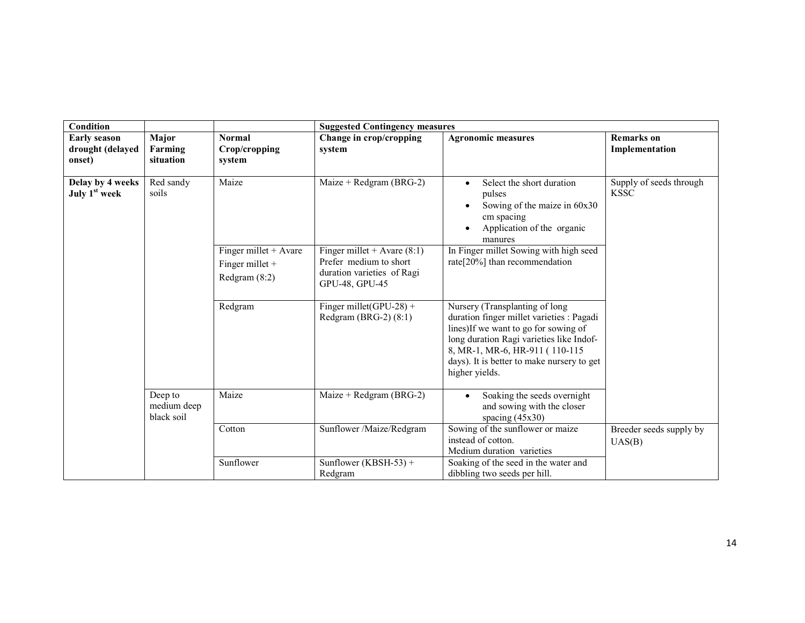| Condition                                         |                                      |                                                               | <b>Suggested Contingency measures</b>                                                                   |                                                                                                                                                                                                                                                                    |                                        |  |  |
|---------------------------------------------------|--------------------------------------|---------------------------------------------------------------|---------------------------------------------------------------------------------------------------------|--------------------------------------------------------------------------------------------------------------------------------------------------------------------------------------------------------------------------------------------------------------------|----------------------------------------|--|--|
| <b>Early season</b><br>drought (delayed<br>onset) | Major<br>Farming<br>situation        | <b>Normal</b><br>Crop/cropping<br>system                      | Change in crop/cropping<br>system                                                                       | <b>Agronomic measures</b>                                                                                                                                                                                                                                          | <b>Remarks</b> on<br>Implementation    |  |  |
| Delay by 4 weeks<br>July 1 <sup>st</sup> week     | Red sandy<br>soils                   | Maize                                                         | Maize + Redgram (BRG-2)                                                                                 | Select the short duration<br>pulses<br>Sowing of the maize in 60x30<br>cm spacing<br>Application of the organic<br>manures                                                                                                                                         | Supply of seeds through<br><b>KSSC</b> |  |  |
|                                                   |                                      | Finger millet $+$ Avare<br>Finger millet $+$<br>Redgram (8:2) | Finger millet + Avare $(8:1)$<br>Prefer medium to short<br>duration varieties of Ragi<br>GPU-48, GPU-45 | In Finger millet Sowing with high seed<br>rate[20%] than recommendation                                                                                                                                                                                            |                                        |  |  |
|                                                   |                                      | Redgram                                                       | Finger millet(GPU-28) +<br>Redgram (BRG-2) $(8:1)$                                                      | Nursery (Transplanting of long<br>duration finger millet varieties : Pagadi<br>lines) If we want to go for sowing of<br>long duration Ragi varieties like Indof-<br>8, MR-1, MR-6, HR-911 (110-115<br>days). It is better to make nursery to get<br>higher yields. |                                        |  |  |
|                                                   | Deep to<br>medium deep<br>black soil | Maize                                                         | Maize + Redgram (BRG-2)                                                                                 | Soaking the seeds overnight<br>$\bullet$<br>and sowing with the closer<br>spacing $(45x30)$                                                                                                                                                                        |                                        |  |  |
|                                                   |                                      | Cotton                                                        | Sunflower /Maize/Redgram                                                                                | Sowing of the sunflower or maize<br>instead of cotton.<br>Medium duration varieties                                                                                                                                                                                | Breeder seeds supply by<br>UAS(B)      |  |  |
|                                                   |                                      | Sunflower                                                     | Sunflower (KBSH-53) +<br>Redgram                                                                        | Soaking of the seed in the water and<br>dibbling two seeds per hill.                                                                                                                                                                                               |                                        |  |  |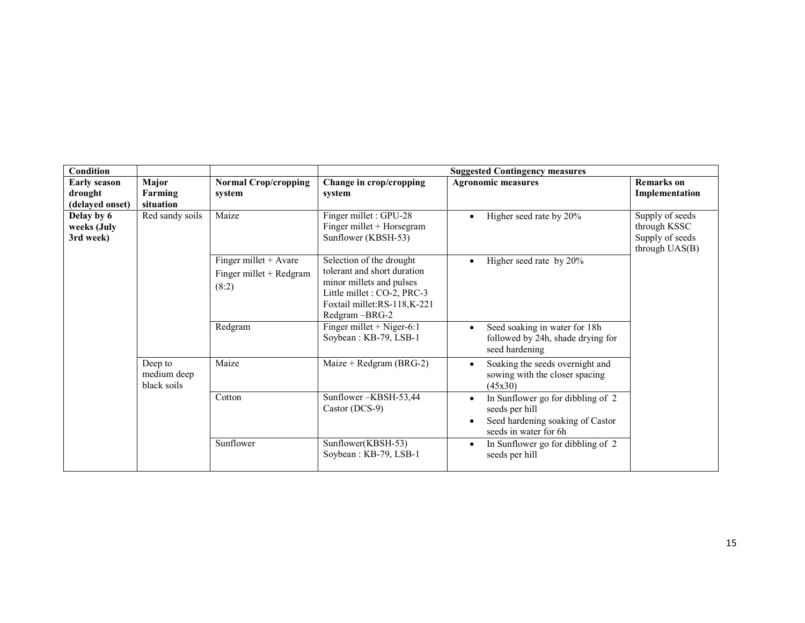| <b>Condition</b>                                  |                                       |                                                             |                                                                                                                                                                    | <b>Suggested Contingency measures</b>                                                                                                      |                                                                      |
|---------------------------------------------------|---------------------------------------|-------------------------------------------------------------|--------------------------------------------------------------------------------------------------------------------------------------------------------------------|--------------------------------------------------------------------------------------------------------------------------------------------|----------------------------------------------------------------------|
| <b>Early season</b><br>drought<br>(delayed onset) | Major<br>Farming<br>situation         | <b>Normal Crop/cropping</b><br>system                       | Change in crop/cropping<br>system                                                                                                                                  | <b>Agronomic measures</b>                                                                                                                  | <b>Remarks</b> on<br>Implementation                                  |
| Delay by 6<br>weeks (July<br>3rd week)            | Red sandy soils                       | Maize                                                       | Finger millet : GPU-28<br>Finger millet + Horsegram<br>Sunflower (KBSH-53)                                                                                         | Higher seed rate by 20%<br>$\bullet$                                                                                                       | Supply of seeds<br>through KSSC<br>Supply of seeds<br>through UAS(B) |
|                                                   |                                       | Finger millet $+$ Avare<br>Finger millet + Redgram<br>(8:2) | Selection of the drought<br>tolerant and short duration<br>minor millets and pulses<br>Little millet : CO-2, PRC-3<br>Foxtail millet:RS-118,K-221<br>Redgram-BRG-2 | Higher seed rate by 20%<br>$\bullet$                                                                                                       |                                                                      |
|                                                   |                                       | Redgram                                                     | Finger millet + Niger-6:1<br>Soybean: KB-79, LSB-1                                                                                                                 | Seed soaking in water for 18h<br>followed by 24h, shade drying for<br>seed hardening                                                       |                                                                      |
|                                                   | Deep to<br>medium deep<br>black soils | Maize                                                       | Maize + Redgram (BRG-2)                                                                                                                                            | Soaking the seeds overnight and<br>$\bullet$<br>sowing with the closer spacing<br>(45x30)                                                  |                                                                      |
|                                                   |                                       | Cotton                                                      | Sunflower-KBSH-53,44<br>Castor (DCS-9)                                                                                                                             | In Sunflower go for dibbling of 2<br>$\bullet$<br>seeds per hill<br>Seed hardening soaking of Castor<br>$\bullet$<br>seeds in water for 6h |                                                                      |
|                                                   |                                       | Sunflower                                                   | Sunflower(KBSH-53)<br>Soybean: KB-79, LSB-1                                                                                                                        | In Sunflower go for dibbling of 2<br>$\bullet$<br>seeds per hill                                                                           |                                                                      |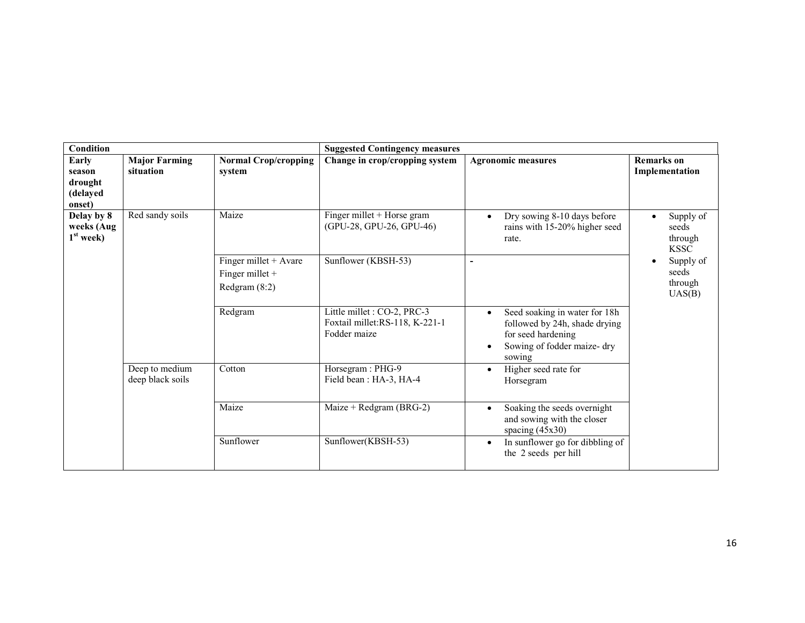| <b>Condition</b>                                 |                                    |                                                               | <b>Suggested Contingency measures</b>                                         |                                                                                                                                                        |                                              |
|--------------------------------------------------|------------------------------------|---------------------------------------------------------------|-------------------------------------------------------------------------------|--------------------------------------------------------------------------------------------------------------------------------------------------------|----------------------------------------------|
| Early<br>season<br>drought<br>(delayed<br>onset) | <b>Major Farming</b><br>situation  | <b>Normal Crop/cropping</b><br>system                         | Change in crop/cropping system                                                | <b>Agronomic measures</b>                                                                                                                              | <b>Remarks</b> on<br>Implementation          |
| Delay by 8<br>weeks (Aug<br>$1st$ week)          | Red sandy soils                    | Maize                                                         | $\overline{\text{Finger}}$ millet + Horse gram<br>(GPU-28, GPU-26, GPU-46)    | Dry sowing 8-10 days before<br>$\bullet$<br>rains with 15-20% higher seed<br>rate.                                                                     | Supply of<br>seeds<br>through<br><b>KSSC</b> |
|                                                  |                                    | Finger millet $+$ Avare<br>Finger millet +<br>Redgram $(8:2)$ | Sunflower (KBSH-53)                                                           | ۰                                                                                                                                                      | Supply of<br>seeds<br>through<br>UAS(B)      |
|                                                  |                                    | Redgram                                                       | Little millet : CO-2, PRC-3<br>Foxtail millet:RS-118, K-221-1<br>Fodder maize | Seed soaking in water for 18h<br>$\bullet$<br>followed by 24h, shade drying<br>for seed hardening<br>Sowing of fodder maize-dry<br>$\bullet$<br>sowing |                                              |
|                                                  | Deep to medium<br>deep black soils | Cotton                                                        | Horsegram: PHG-9<br>Field bean: HA-3, HA-4                                    | Higher seed rate for<br>$\bullet$<br>Horsegram                                                                                                         |                                              |
|                                                  |                                    | Maize                                                         | Maize + Redgram (BRG-2)                                                       | Soaking the seeds overnight<br>$\bullet$<br>and sowing with the closer<br>spacing $(45x30)$                                                            |                                              |
|                                                  |                                    | Sunflower                                                     | Sunflower(KBSH-53)                                                            | In sunflower go for dibbling of<br>$\bullet$<br>the 2 seeds per hill                                                                                   |                                              |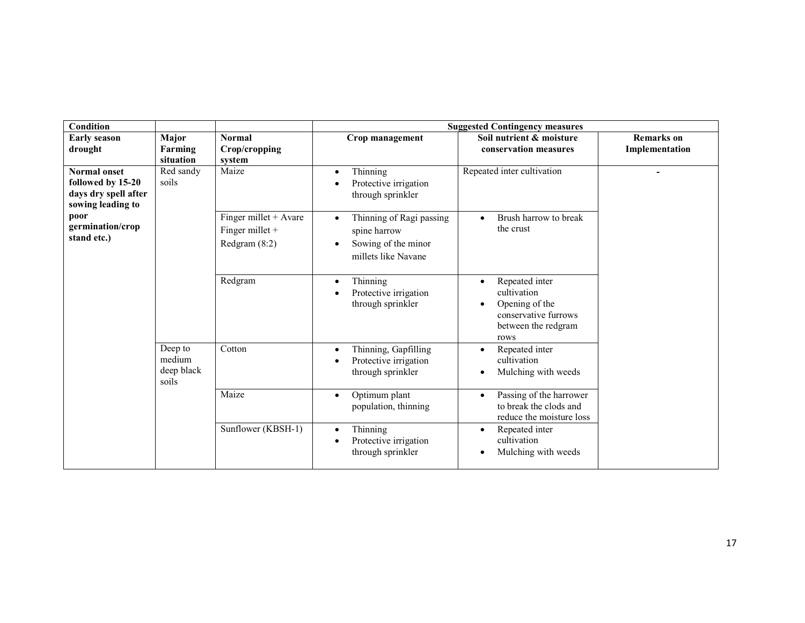| Condition                                                                             |                                          |                                                           | <b>Suggested Contingency measures</b>                                                  |                                                                                                        |                   |  |  |
|---------------------------------------------------------------------------------------|------------------------------------------|-----------------------------------------------------------|----------------------------------------------------------------------------------------|--------------------------------------------------------------------------------------------------------|-------------------|--|--|
| <b>Early season</b>                                                                   | Major                                    | <b>Normal</b>                                             | Crop management                                                                        | Soil nutrient & moisture                                                                               | <b>Remarks</b> on |  |  |
| drought                                                                               | Farming<br>situation                     | Crop/cropping<br>system                                   |                                                                                        | conservation measures                                                                                  | Implementation    |  |  |
| <b>Normal onset</b><br>followed by 15-20<br>days dry spell after<br>sowing leading to | Red sandy<br>soils                       | Maize                                                     | Thinning<br>Protective irrigation<br>through sprinkler                                 | Repeated inter cultivation                                                                             |                   |  |  |
| poor<br>germination/crop<br>stand etc.)                                               |                                          | Finger millet + Avare<br>Finger millet +<br>Redgram (8:2) | Thinning of Ragi passing<br>spine harrow<br>Sowing of the minor<br>millets like Navane | Brush harrow to break<br>the crust                                                                     |                   |  |  |
|                                                                                       |                                          | Redgram                                                   | Thinning<br>$\bullet$<br>Protective irrigation<br>through sprinkler                    | Repeated inter<br>cultivation<br>Opening of the<br>conservative furrows<br>between the redgram<br>rows |                   |  |  |
|                                                                                       | Deep to<br>medium<br>deep black<br>soils | Cotton                                                    | Thinning, Gapfilling<br>Protective irrigation<br>through sprinkler                     | Repeated inter<br>cultivation<br>Mulching with weeds                                                   |                   |  |  |
|                                                                                       |                                          | Maize                                                     | Optimum plant<br>population, thinning                                                  | Passing of the harrower<br>to break the clods and<br>reduce the moisture loss                          |                   |  |  |
|                                                                                       |                                          | Sunflower (KBSH-1)                                        | Thinning<br>$\bullet$<br>Protective irrigation<br>through sprinkler                    | Repeated inter<br>$\bullet$<br>cultivation<br>Mulching with weeds                                      |                   |  |  |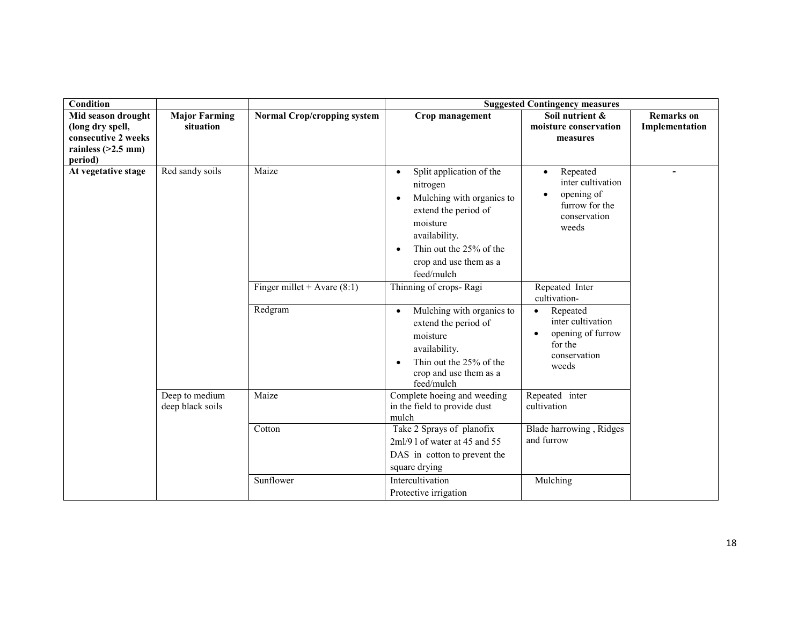| <b>Condition</b>                                                                                 |                                    |                                    |                                                                                                                                                                                                                                  | <b>Suggested Contingency measures</b>                                                                            |                                     |
|--------------------------------------------------------------------------------------------------|------------------------------------|------------------------------------|----------------------------------------------------------------------------------------------------------------------------------------------------------------------------------------------------------------------------------|------------------------------------------------------------------------------------------------------------------|-------------------------------------|
| Mid season drought<br>(long dry spell,<br>consecutive 2 weeks<br>rainless $(>2.5$ mm)<br>period) | <b>Major Farming</b><br>situation  | <b>Normal Crop/cropping system</b> | Crop management                                                                                                                                                                                                                  | Soil nutrient &<br>moisture conservation<br>measures                                                             | <b>Remarks</b> on<br>Implementation |
| At vegetative stage                                                                              | Red sandy soils                    | Maize                              | Split application of the<br>$\bullet$<br>nitrogen<br>Mulching with organics to<br>$\bullet$<br>extend the period of<br>moisture<br>availability.<br>Thin out the 25% of the<br>$\bullet$<br>crop and use them as a<br>feed/mulch | Repeated<br>$\bullet$<br>inter cultivation<br>opening of<br>$\bullet$<br>furrow for the<br>conservation<br>weeds |                                     |
|                                                                                                  |                                    | Finger millet + Avare $(8:1)$      | Thinning of crops-Ragi                                                                                                                                                                                                           | Repeated Inter<br>cultivation-                                                                                   |                                     |
|                                                                                                  |                                    | Redgram                            | Mulching with organics to<br>$\bullet$<br>extend the period of<br>moisture<br>availability.<br>Thin out the 25% of the<br>$\bullet$<br>crop and use them as a<br>feed/mulch                                                      | Repeated<br>$\bullet$<br>inter cultivation<br>opening of furrow<br>$\bullet$<br>for the<br>conservation<br>weeds |                                     |
|                                                                                                  | Deep to medium<br>deep black soils | Maize                              | Complete hoeing and weeding<br>in the field to provide dust<br>mulch                                                                                                                                                             | Repeated inter<br>cultivation                                                                                    |                                     |
|                                                                                                  |                                    | Cotton                             | Take 2 Sprays of planofix<br>$2ml/9$ l of water at 45 and 55<br>DAS in cotton to prevent the<br>square drying                                                                                                                    | Blade harrowing, Ridges<br>and furrow                                                                            |                                     |
|                                                                                                  |                                    | Sunflower                          | Intercultivation<br>Protective irrigation                                                                                                                                                                                        | Mulching                                                                                                         |                                     |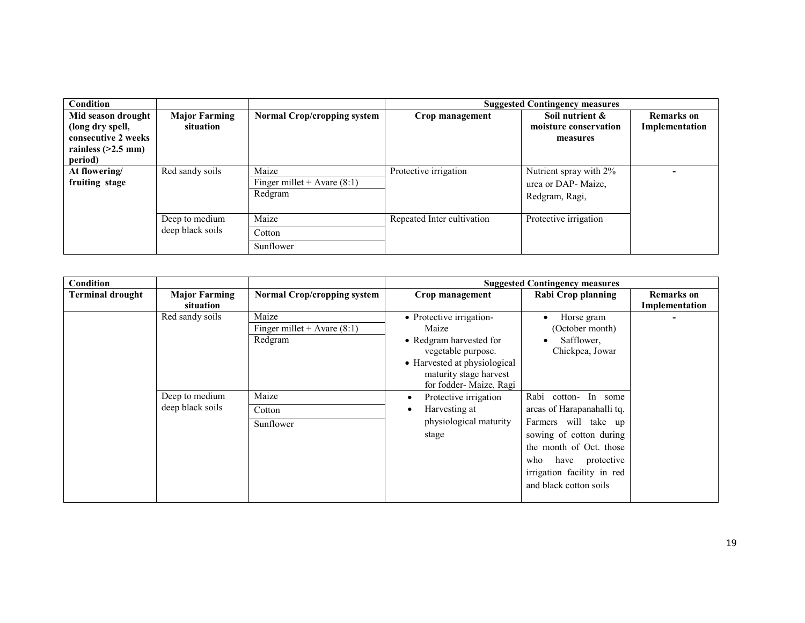| Condition                                                                                        |                                    |                                                   |                            | <b>Suggested Contingency measures</b>                           |                                     |
|--------------------------------------------------------------------------------------------------|------------------------------------|---------------------------------------------------|----------------------------|-----------------------------------------------------------------|-------------------------------------|
| Mid season drought<br>(long dry spell,<br>consecutive 2 weeks<br>rainless $(>2.5$ mm)<br>period) | <b>Major Farming</b><br>situation  | <b>Normal Crop/cropping system</b>                | Crop management            | Soil nutrient &<br>moisture conservation<br>measures            | <b>Remarks</b> on<br>Implementation |
| At flowering/<br>fruiting stage                                                                  | Red sandy soils                    | Maize<br>Finger millet + Avare $(8:1)$<br>Redgram | Protective irrigation      | Nutrient spray with 2%<br>urea or DAP- Maize,<br>Redgram, Ragi, |                                     |
|                                                                                                  | Deep to medium<br>deep black soils | Maize<br>Cotton<br>Sunflower                      | Repeated Inter cultivation | Protective irrigation                                           |                                     |

| Condition               |                                                       |                                                                                   |                                                                                                                                                                                                                                                                        | <b>Suggested Contingency measures</b>                                                                                                                                                                                                                                                   |                                     |
|-------------------------|-------------------------------------------------------|-----------------------------------------------------------------------------------|------------------------------------------------------------------------------------------------------------------------------------------------------------------------------------------------------------------------------------------------------------------------|-----------------------------------------------------------------------------------------------------------------------------------------------------------------------------------------------------------------------------------------------------------------------------------------|-------------------------------------|
| <b>Terminal drought</b> | <b>Major Farming</b><br>situation                     | <b>Normal Crop/cropping system</b>                                                | Crop management                                                                                                                                                                                                                                                        | <b>Rabi Crop planning</b>                                                                                                                                                                                                                                                               | <b>Remarks</b> on<br>Implementation |
|                         | Red sandy soils<br>Deep to medium<br>deep black soils | Maize<br>Finger millet + Avare $(8:1)$<br>Redgram<br>Maize<br>Cotton<br>Sunflower | • Protective irrigation-<br>Maize<br>• Redgram harvested for<br>vegetable purpose.<br>• Harvested at physiological<br>maturity stage harvest<br>for fodder- Maize, Ragi<br>Protective irrigation<br>٠<br>Harvesting at<br>$\bullet$<br>physiological maturity<br>stage | Horse gram<br>(October month)<br>Safflower,<br>Chickpea, Jowar<br>Rabi<br>cotton- In some<br>areas of Harapanahalli tq.<br>Farmers will take up<br>sowing of cotton during<br>the month of Oct. those<br>have protective<br>who<br>irrigation facility in red<br>and black cotton soils |                                     |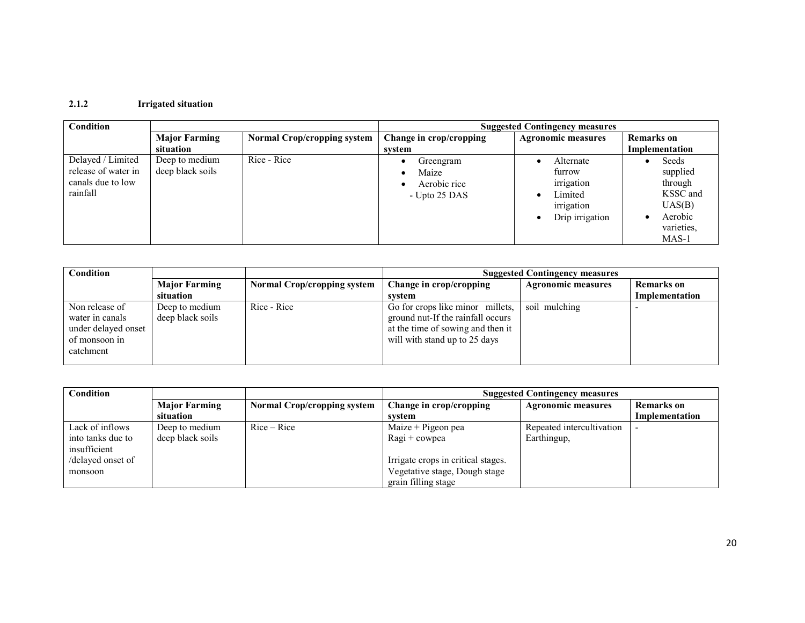# 2.1.2 Irrigated situation

| Condition                                                                 |                                    |                                    |                                                     | <b>Suggested Contingency measures</b>                                         |                                                                                                     |
|---------------------------------------------------------------------------|------------------------------------|------------------------------------|-----------------------------------------------------|-------------------------------------------------------------------------------|-----------------------------------------------------------------------------------------------------|
|                                                                           | <b>Major Farming</b>               | <b>Normal Crop/cropping system</b> | Change in crop/cropping                             | <b>Agronomic measures</b>                                                     | <b>Remarks</b> on                                                                                   |
|                                                                           | situation                          |                                    | system                                              |                                                                               | Implementation                                                                                      |
| Delayed / Limited<br>release of water in<br>canals due to low<br>rainfall | Deep to medium<br>deep black soils | Rice - Rice                        | Greengram<br>Maize<br>Aerobic rice<br>- Upto 25 DAS | Alternate<br>furrow<br>irrigation<br>Limited<br>irrigation<br>Drip irrigation | Seeds<br>supplied<br>through<br>KSSC and<br>UAS(B)<br>Aerobic<br>$\bullet$<br>varieties,<br>$MAS-1$ |

| Condition                                                                              |                                    |                                    | <b>Suggested Contingency measures</b>                                                                                                       |                           |                   |  |
|----------------------------------------------------------------------------------------|------------------------------------|------------------------------------|---------------------------------------------------------------------------------------------------------------------------------------------|---------------------------|-------------------|--|
|                                                                                        | <b>Major Farming</b>               | <b>Normal Crop/cropping system</b> | Change in crop/cropping                                                                                                                     | <b>Agronomic measures</b> | <b>Remarks</b> on |  |
|                                                                                        | situation                          |                                    | svstem                                                                                                                                      |                           | Implementation    |  |
| Non release of<br>water in canals<br>under delayed onset<br>of monsoon in<br>catchment | Deep to medium<br>deep black soils | Rice - Rice                        | Go for crops like minor millets,<br>ground nut-If the rainfall occurs<br>at the time of sowing and then it<br>will with stand up to 25 days | soil mulching             |                   |  |

| Condition         |                      |                             | <b>Suggested Contingency measures</b> |                           |                   |
|-------------------|----------------------|-----------------------------|---------------------------------------|---------------------------|-------------------|
|                   | <b>Major Farming</b> | Normal Crop/cropping system | Change in crop/cropping               | <b>Agronomic measures</b> | <b>Remarks</b> on |
|                   | situation            |                             | svstem                                |                           | Implementation    |
| Lack of inflows   | Deep to medium       | Rice – Rice                 | Maize $+$ Pigeon pea                  | Repeated intercultivation |                   |
| into tanks due to | deep black soils     |                             | Ragi + cowpea                         | Earthingup,               |                   |
| insufficient      |                      |                             |                                       |                           |                   |
| /delayed onset of |                      |                             | Irrigate crops in critical stages.    |                           |                   |
| monsoon           |                      |                             | Vegetative stage, Dough stage         |                           |                   |
|                   |                      |                             | grain filling stage                   |                           |                   |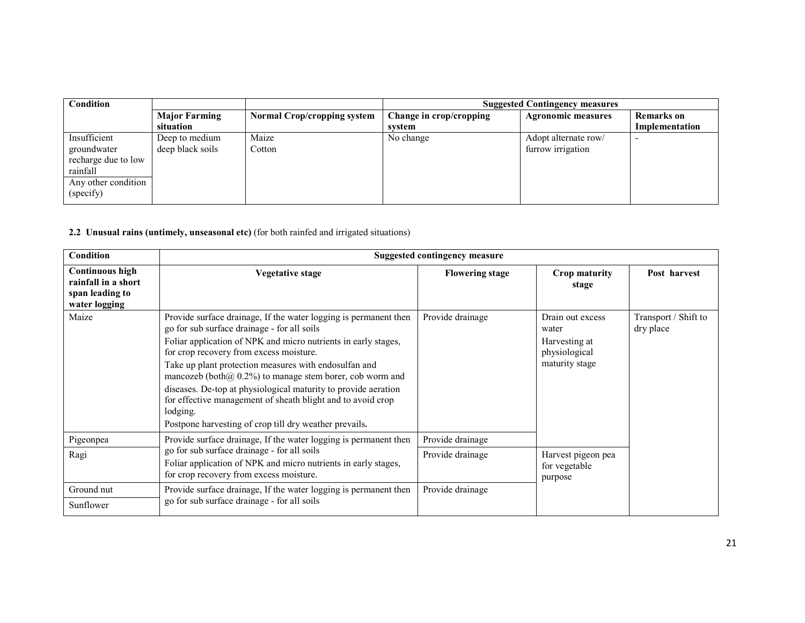| <b>Condition</b>                                                                                   |                                    |                                    | <b>Suggested Contingency measures</b> |                                           |                              |
|----------------------------------------------------------------------------------------------------|------------------------------------|------------------------------------|---------------------------------------|-------------------------------------------|------------------------------|
|                                                                                                    | <b>Major Farming</b><br>situation  | <b>Normal Crop/cropping system</b> | Change in crop/cropping<br>svstem     | <b>Agronomic measures</b>                 | Remarks on<br>Implementation |
| Insufficient<br>groundwater<br>recharge due to low<br>rainfall<br>Any other condition<br>(specify) | Deep to medium<br>deep black soils | Maize<br>Cotton                    | No change                             | Adopt alternate row/<br>furrow irrigation | $\overline{\phantom{0}}$     |

#### 2.2 Unusual rains (untimely, unseasonal etc) (for both rainfed and irrigated situations)

| Condition                                                                         | <b>Suggested contingency measure</b>                                                                                                                                                                                                                                                                                                                                                                                                                                                                                                                          |                        |                                                                               |                                   |  |
|-----------------------------------------------------------------------------------|---------------------------------------------------------------------------------------------------------------------------------------------------------------------------------------------------------------------------------------------------------------------------------------------------------------------------------------------------------------------------------------------------------------------------------------------------------------------------------------------------------------------------------------------------------------|------------------------|-------------------------------------------------------------------------------|-----------------------------------|--|
| <b>Continuous high</b><br>rainfall in a short<br>span leading to<br>water logging | Vegetative stage                                                                                                                                                                                                                                                                                                                                                                                                                                                                                                                                              | <b>Flowering stage</b> | <b>Crop maturity</b><br>stage                                                 | Post harvest                      |  |
| Maize                                                                             | Provide surface drainage. If the water logging is permanent then<br>go for sub surface drainage - for all soils<br>Foliar application of NPK and micro nutrients in early stages,<br>for crop recovery from excess moisture.<br>Take up plant protection measures with endosulfan and<br>mancozeb (both $(a)$ 0.2%) to manage stem borer, cob worm and<br>diseases. De-top at physiological maturity to provide aeration<br>for effective management of sheath blight and to avoid crop<br>lodging.<br>Postpone harvesting of crop till dry weather prevails. | Provide drainage       | Drain out excess<br>water<br>Harvesting at<br>physiological<br>maturity stage | Transport / Shift to<br>dry place |  |
| Pigeonpea                                                                         | Provide surface drainage, If the water logging is permanent then                                                                                                                                                                                                                                                                                                                                                                                                                                                                                              | Provide drainage       |                                                                               |                                   |  |
| Ragi                                                                              | go for sub surface drainage - for all soils<br>Foliar application of NPK and micro nutrients in early stages,<br>for crop recovery from excess moisture.                                                                                                                                                                                                                                                                                                                                                                                                      | Provide drainage       | Harvest pigeon pea<br>for vegetable<br>purpose                                |                                   |  |
| Ground nut<br>Sunflower                                                           | Provide surface drainage, If the water logging is permanent then<br>go for sub surface drainage - for all soils                                                                                                                                                                                                                                                                                                                                                                                                                                               | Provide drainage       |                                                                               |                                   |  |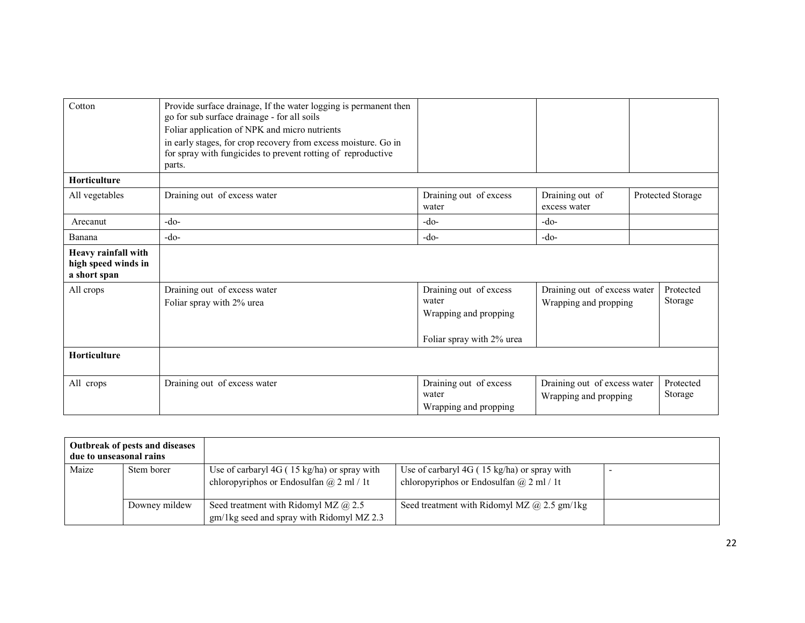| Cotton                                                     | Provide surface drainage, If the water logging is permanent then<br>go for sub surface drainage - for all soils<br>Foliar application of NPK and micro nutrients<br>in early stages, for crop recovery from excess moisture. Go in<br>for spray with fungicides to prevent rotting of reproductive<br>parts. |                                                                                       |                                                       |                      |
|------------------------------------------------------------|--------------------------------------------------------------------------------------------------------------------------------------------------------------------------------------------------------------------------------------------------------------------------------------------------------------|---------------------------------------------------------------------------------------|-------------------------------------------------------|----------------------|
| <b>Horticulture</b>                                        |                                                                                                                                                                                                                                                                                                              |                                                                                       |                                                       |                      |
| All vegetables                                             | Draining out of excess water                                                                                                                                                                                                                                                                                 | Draining out of excess<br>water                                                       | Draining out of<br>excess water                       | Protected Storage    |
| Arecanut                                                   | $-do-$                                                                                                                                                                                                                                                                                                       | $-do-$                                                                                | $-do-$                                                |                      |
| Banana                                                     | $-do-$                                                                                                                                                                                                                                                                                                       | $-do-$                                                                                | $-do-$                                                |                      |
| Heavy rainfall with<br>high speed winds in<br>a short span |                                                                                                                                                                                                                                                                                                              |                                                                                       |                                                       |                      |
| All crops                                                  | Draining out of excess water<br>Foliar spray with 2% urea                                                                                                                                                                                                                                                    | Draining out of excess<br>water<br>Wrapping and propping<br>Foliar spray with 2% urea | Draining out of excess water<br>Wrapping and propping | Protected<br>Storage |
| <b>Horticulture</b>                                        |                                                                                                                                                                                                                                                                                                              |                                                                                       |                                                       |                      |
| All crops                                                  | Draining out of excess water                                                                                                                                                                                                                                                                                 | Draining out of excess<br>water<br>Wrapping and propping                              | Draining out of excess water<br>Wrapping and propping | Protected<br>Storage |

| Outbreak of pests and diseases<br>due to unseasonal rains |               |                                                                                                         |                                                                                             |  |
|-----------------------------------------------------------|---------------|---------------------------------------------------------------------------------------------------------|---------------------------------------------------------------------------------------------|--|
| Maize                                                     | Stem borer    | Use of carbaryl $4G(15 \text{ kg/ha})$ or spray with<br>chloropyriphos or Endosulfan $\omega$ 2 ml / 1t | Use of carbaryl 4G (15 kg/ha) or spray with<br>chloropyriphos or Endosulfan $(a)$ 2 ml / 1t |  |
|                                                           | Downey mildew | Seed treatment with Ridomyl MZ $\omega$ 2.5<br>gm/1kg seed and spray with Ridomyl MZ 2.3                | Seed treatment with Ridomyl MZ $@$ 2.5 gm/1kg                                               |  |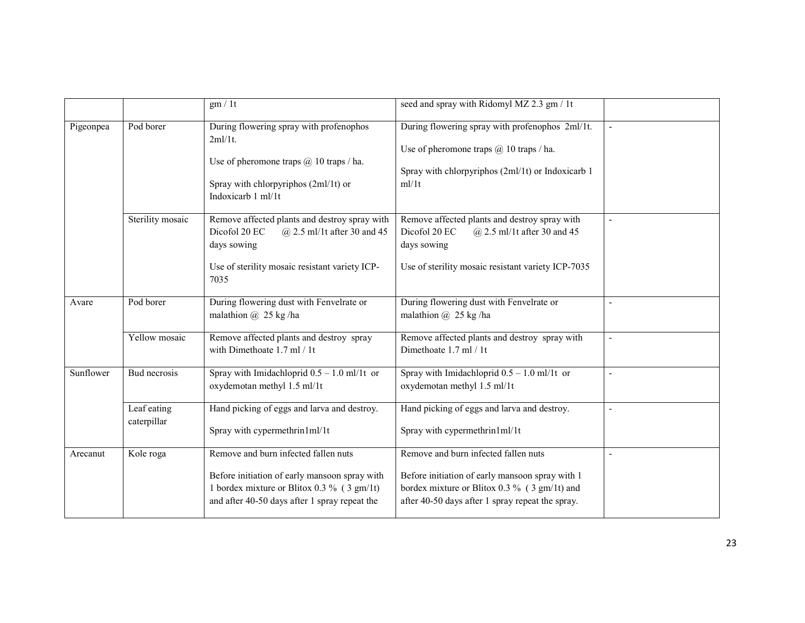|           |                            | gm/1t                                                                                                                                                                                            | seed and spray with Ridomyl MZ 2.3 gm / 1t                                                                                                                                                  |                |
|-----------|----------------------------|--------------------------------------------------------------------------------------------------------------------------------------------------------------------------------------------------|---------------------------------------------------------------------------------------------------------------------------------------------------------------------------------------------|----------------|
| Pigeonpea | Pod borer                  | During flowering spray with profenophos<br>$2ml/1t$ .<br>Use of pheromone traps $(a)$ 10 traps / ha.<br>Spray with chlorpyriphos (2ml/1t) or<br>Indoxicarb 1 ml/1t                               | During flowering spray with profenophos 2ml/1t.<br>Use of pheromone traps $\omega$ 10 traps / ha.<br>Spray with chlorpyriphos (2ml/1t) or Indoxicarb 1<br>ml/1t                             |                |
|           | Sterility mosaic           | Remove affected plants and destroy spray with<br>Dicofol 20 EC<br>$@$ 2.5 ml/1t after 30 and 45<br>days sowing<br>Use of sterility mosaic resistant variety ICP-<br>7035                         | Remove affected plants and destroy spray with<br>Dicofol 20 EC<br>$@$ 2.5 ml/1t after 30 and 45<br>days sowing<br>Use of sterility mosaic resistant variety ICP-7035                        | $\blacksquare$ |
| Avare     | Pod borer                  | During flowering dust with Fenvelrate or<br>malathion $\omega$ 25 kg/ha                                                                                                                          | During flowering dust with Fenvelrate or<br>malathion $\omega$ 25 kg/ha                                                                                                                     |                |
|           | Yellow mosaic              | Remove affected plants and destroy spray<br>with Dimethoate 1.7 ml / 1t                                                                                                                          | Remove affected plants and destroy spray with<br>Dimethoate 1.7 ml / 1t                                                                                                                     | $\blacksquare$ |
| Sunflower | Bud necrosis               | Spray with Imidachloprid $0.5 - 1.0$ ml/1t or<br>oxydemotan methyl 1.5 ml/1t                                                                                                                     | Spray with Imidachloprid $0.5 - 1.0$ ml/1t or<br>oxydemotan methyl 1.5 ml/1t                                                                                                                | $\blacksquare$ |
|           | Leaf eating<br>caterpillar | Hand picking of eggs and larva and destroy.<br>Spray with cypermethrin1ml/1t                                                                                                                     | Hand picking of eggs and larva and destroy.<br>Spray with cypermethrin1ml/1t                                                                                                                | $\blacksquare$ |
| Arecanut  | Kole roga                  | Remove and burn infected fallen nuts<br>Before initiation of early mansoon spray with<br>1 bordex mixture or Blitox 0.3 % ( $3 \text{ gm/1t}$ )<br>and after 40-50 days after 1 spray repeat the | Remove and burn infected fallen nuts<br>Before initiation of early mansoon spray with 1<br>bordex mixture or Blitox 0.3 % (3 gm/1t) and<br>after 40-50 days after 1 spray repeat the spray. | $\blacksquare$ |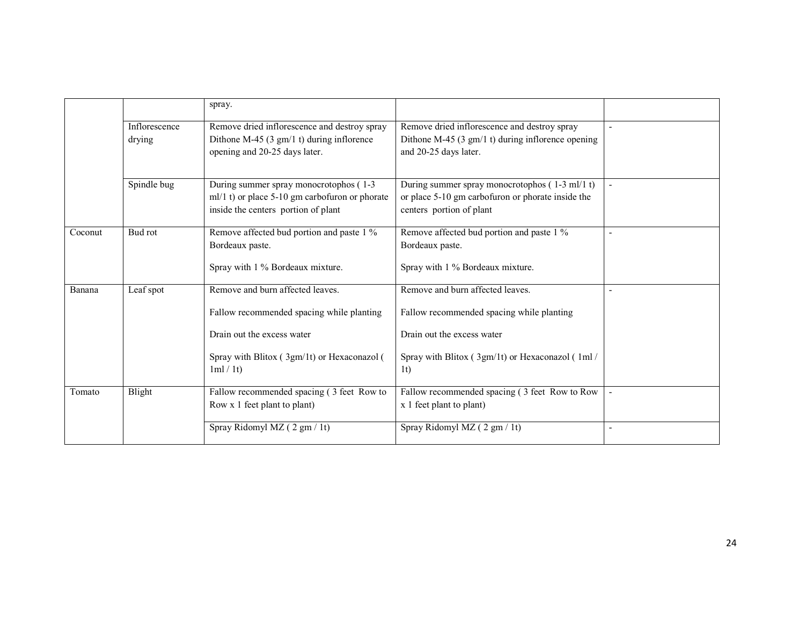|         |                         | spray.                                                                                                                                                                |                                                                                                                                                                                  |  |
|---------|-------------------------|-----------------------------------------------------------------------------------------------------------------------------------------------------------------------|----------------------------------------------------------------------------------------------------------------------------------------------------------------------------------|--|
|         | Inflorescence<br>drying | Remove dried inflorescence and destroy spray<br>Dithone M-45 (3 $gm/1$ t) during inflorence<br>opening and 20-25 days later.                                          | Remove dried inflorescence and destroy spray<br>Dithone M-45 $(3 \text{ gm/1 t})$ during inflorence opening<br>and 20-25 days later.                                             |  |
|         | Spindle bug             | During summer spray monocrotophos (1-3)<br>$ml/1$ t) or place 5-10 gm carbofuron or phorate<br>inside the centers portion of plant                                    | During summer spray monocrotophos (1-3 ml/1 t)<br>or place 5-10 gm carbofuron or phorate inside the<br>centers portion of plant                                                  |  |
| Coconut | Bud rot                 | Remove affected bud portion and paste 1 %<br>Bordeaux paste.<br>Spray with 1 % Bordeaux mixture.                                                                      | Remove affected bud portion and paste 1 %<br>Bordeaux paste.<br>Spray with 1 % Bordeaux mixture.                                                                                 |  |
| Banana  | Leaf spot               | Remove and burn affected leaves.<br>Fallow recommended spacing while planting<br>Drain out the excess water<br>Spray with Blitox (3gm/1t) or Hexaconazol (<br>1ml/1t) | Remove and burn affected leaves.<br>Fallow recommended spacing while planting<br>Drain out the excess water<br>Spray with Blitox (3gm/1t) or Hexaconazol (1ml/<br>1 <sub>t</sub> |  |
| Tomato  | Blight                  | Fallow recommended spacing (3 feet Row to<br>Row x 1 feet plant to plant)                                                                                             | Fallow recommended spacing (3 feet Row to Row<br>x 1 feet plant to plant)                                                                                                        |  |
|         |                         | Spray Ridomyl MZ (2 gm / 1t)                                                                                                                                          | Spray Ridomyl MZ (2 gm / 1t)                                                                                                                                                     |  |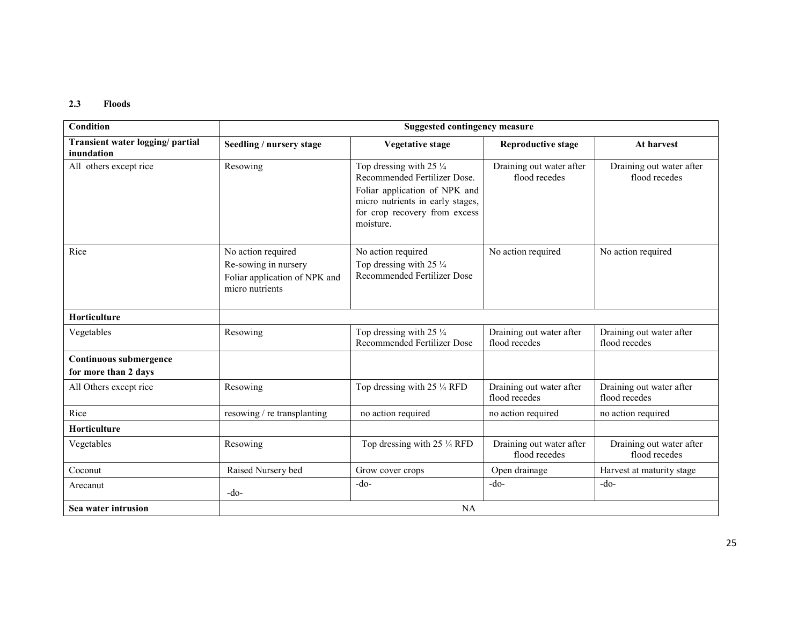#### 2.3 Floods

| <b>Condition</b>                               |                                                                                                | <b>Suggested contingency measure</b>                                                                                                                                                  |                                           |                                           |
|------------------------------------------------|------------------------------------------------------------------------------------------------|---------------------------------------------------------------------------------------------------------------------------------------------------------------------------------------|-------------------------------------------|-------------------------------------------|
| Transient water logging/partial<br>inundation  | Seedling / nursery stage                                                                       | <b>Vegetative stage</b>                                                                                                                                                               | <b>Reproductive stage</b>                 | At harvest                                |
| All others except rice                         | Resowing                                                                                       | Top dressing with 25 $\frac{1}{4}$<br>Recommended Fertilizer Dose.<br>Foliar application of NPK and<br>micro nutrients in early stages,<br>for crop recovery from excess<br>moisture. | Draining out water after<br>flood recedes | Draining out water after<br>flood recedes |
| Rice                                           | No action required<br>Re-sowing in nursery<br>Foliar application of NPK and<br>micro nutrients | No action required<br>Top dressing with 25 $\frac{1}{4}$<br>Recommended Fertilizer Dose                                                                                               | No action required                        | No action required                        |
| <b>Horticulture</b>                            |                                                                                                |                                                                                                                                                                                       |                                           |                                           |
| Vegetables                                     | Resowing                                                                                       | Top dressing with 25 $\frac{1}{4}$<br><b>Recommended Fertilizer Dose</b>                                                                                                              | Draining out water after<br>flood recedes | Draining out water after<br>flood recedes |
| Continuous submergence<br>for more than 2 days |                                                                                                |                                                                                                                                                                                       |                                           |                                           |
| All Others except rice                         | Resowing                                                                                       | Top dressing with 25 $\frac{1}{4}$ RFD                                                                                                                                                | Draining out water after<br>flood recedes | Draining out water after<br>flood recedes |
| Rice                                           | resowing / re transplanting                                                                    | no action required                                                                                                                                                                    | no action required                        | no action required                        |
| <b>Horticulture</b>                            |                                                                                                |                                                                                                                                                                                       |                                           |                                           |
| Vegetables                                     | Resowing                                                                                       | Top dressing with 25 1/4 RFD                                                                                                                                                          | Draining out water after<br>flood recedes | Draining out water after<br>flood recedes |
| Coconut                                        | Raised Nursery bed                                                                             | Grow cover crops                                                                                                                                                                      | Open drainage                             | Harvest at maturity stage                 |
| Arecanut                                       | $-do-$                                                                                         | $-do-$                                                                                                                                                                                | $-do-$                                    | $-do-$                                    |
| Sea water intrusion                            |                                                                                                | NA                                                                                                                                                                                    |                                           |                                           |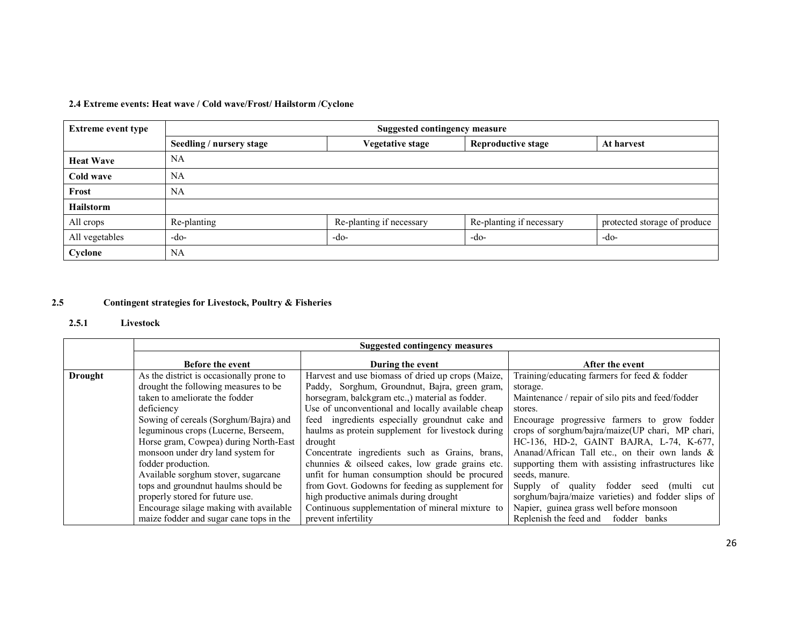# 2.4 Extreme events: Heat wave / Cold wave/Frost/ Hailstorm /Cyclone

| <b>Extreme event type</b> | <b>Suggested contingency measure</b> |                          |                           |                              |  |
|---------------------------|--------------------------------------|--------------------------|---------------------------|------------------------------|--|
|                           | Seedling / nursery stage             | Vegetative stage         | <b>Reproductive stage</b> | At harvest                   |  |
| <b>Heat Wave</b>          | <b>NA</b>                            |                          |                           |                              |  |
| Cold wave                 | <b>NA</b>                            |                          |                           |                              |  |
| Frost                     | <b>NA</b>                            |                          |                           |                              |  |
| <b>Hailstorm</b>          |                                      |                          |                           |                              |  |
| All crops                 | Re-planting                          | Re-planting if necessary | Re-planting if necessary  | protected storage of produce |  |
| All vegetables            | -do-                                 | -do-                     | -do-                      | $-do-$                       |  |
| Cyclone                   | NA                                   |                          |                           |                              |  |

#### 2.5Contingent strategies for Livestock, Poultry & Fisheries

#### 2.5.1 Livestock

|                |                                          | <b>Suggested contingency measures</b>             |                                                     |
|----------------|------------------------------------------|---------------------------------------------------|-----------------------------------------------------|
|                | <b>Before the event</b>                  | During the event                                  | After the event                                     |
| <b>Drought</b> | As the district is occasionally prone to | Harvest and use biomass of dried up crops (Maize, | Training/educating farmers for feed & fodder        |
|                | drought the following measures to be     | Paddy, Sorghum, Groundnut, Bajra, green gram,     | storage.                                            |
|                | taken to ameliorate the fodder           | horsegram, balckgram etc., material as fodder.    | Maintenance / repair of silo pits and feed/fodder   |
|                | deficiency                               | Use of unconventional and locally available cheap | stores.                                             |
|                | Sowing of cereals (Sorghum/Bajra) and    | feed ingredients especially groundnut cake and    | Encourage progressive farmers to grow fodder        |
|                | leguminous crops (Lucerne, Berseem,      | haulms as protein supplement for livestock during | crops of sorghum/bajra/maize(UP chari, MP chari,    |
|                | Horse gram, Cowpea) during North-East    | drought                                           | HC-136, HD-2, GAINT BAJRA, L-74, K-677,             |
|                | monsoon under dry land system for        | Concentrate ingredients such as Grains, brans,    | Ananad/African Tall etc., on their own lands $\&$   |
|                | fodder production.                       | chunnies & oilseed cakes, low grade grains etc.   | supporting them with assisting infrastructures like |
|                | Available sorghum stover, sugarcane      | unfit for human consumption should be procured    | seeds, manure.                                      |
|                | tops and groundnut haulms should be      | from Govt. Godowns for feeding as supplement for  | fodder<br>Supply of quality<br>seed (multi<br>cut   |
|                | properly stored for future use.          | high productive animals during drought            | sorghum/bajra/maize varieties) and fodder slips of  |
|                | Encourage silage making with available   | Continuous supplementation of mineral mixture to  | Napier, guinea grass well before monsoon            |
|                | maize fodder and sugar cane tops in the  | prevent infertility                               | Replenish the feed and<br>fodder banks              |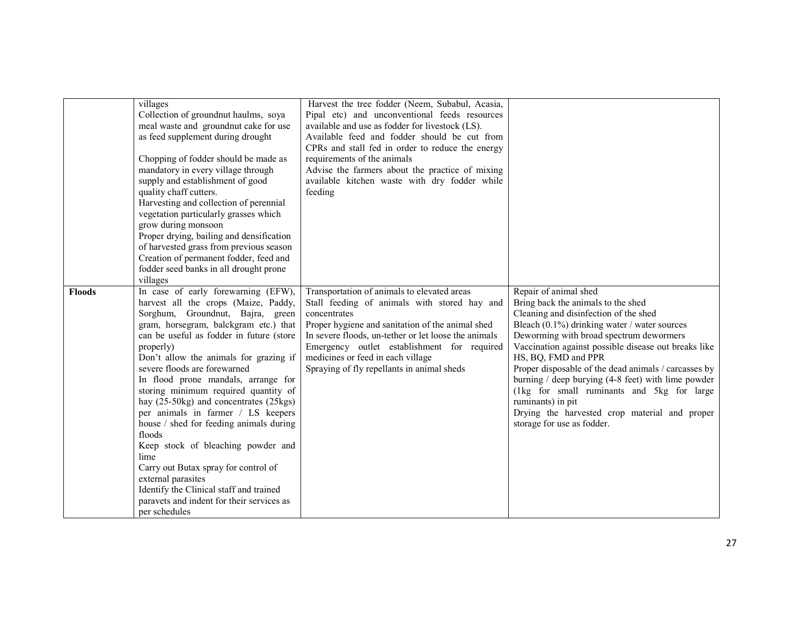|               | villages<br>Collection of groundnut haulms, soya<br>meal waste and groundnut cake for use<br>as feed supplement during drought<br>Chopping of fodder should be made as<br>mandatory in every village through<br>supply and establishment of good<br>quality chaff cutters.<br>Harvesting and collection of perennial<br>vegetation particularly grasses which<br>grow during monsoon                                                                                                                            | Harvest the tree fodder (Neem, Subabul, Acasia,<br>Pipal etc) and unconventional feeds resources<br>available and use as fodder for livestock (LS).<br>Available feed and fodder should be cut from<br>CPRs and stall fed in order to reduce the energy<br>requirements of the animals<br>Advise the farmers about the practice of mixing<br>available kitchen waste with dry fodder while<br>feeding |                                                                                                                                                                                                                                                                                       |
|---------------|-----------------------------------------------------------------------------------------------------------------------------------------------------------------------------------------------------------------------------------------------------------------------------------------------------------------------------------------------------------------------------------------------------------------------------------------------------------------------------------------------------------------|-------------------------------------------------------------------------------------------------------------------------------------------------------------------------------------------------------------------------------------------------------------------------------------------------------------------------------------------------------------------------------------------------------|---------------------------------------------------------------------------------------------------------------------------------------------------------------------------------------------------------------------------------------------------------------------------------------|
| <b>Floods</b> | Proper drying, bailing and densification<br>of harvested grass from previous season<br>Creation of permanent fodder, feed and<br>fodder seed banks in all drought prone<br>villages<br>In case of early forewarning (EFW),<br>harvest all the crops (Maize, Paddy,<br>Sorghum, Groundnut, Bajra, green<br>gram, horsegram, balckgram etc.) that<br>can be useful as fodder in future (store<br>properly)                                                                                                        | Transportation of animals to elevated areas<br>Stall feeding of animals with stored hay and<br>concentrates<br>Proper hygiene and sanitation of the animal shed<br>In severe floods, un-tether or let loose the animals<br>Emergency outlet establishment for required                                                                                                                                | Repair of animal shed<br>Bring back the animals to the shed<br>Cleaning and disinfection of the shed<br>Bleach (0.1%) drinking water / water sources<br>Deworming with broad spectrum dewormers<br>Vaccination against possible disease out breaks like                               |
|               | Don't allow the animals for grazing if<br>severe floods are forewarned<br>In flood prone mandals, arrange for<br>storing minimum required quantity of<br>hay (25-50kg) and concentrates (25kgs)<br>per animals in farmer / LS keepers<br>house / shed for feeding animals during<br>floods<br>Keep stock of bleaching powder and<br>lime<br>Carry out Butax spray for control of<br>external parasites<br>Identify the Clinical staff and trained<br>paravets and indent for their services as<br>per schedules | medicines or feed in each village<br>Spraying of fly repellants in animal sheds                                                                                                                                                                                                                                                                                                                       | HS, BQ, FMD and PPR<br>Proper disposable of the dead animals / carcasses by<br>burning $/$ deep burying (4-8 feet) with lime powder<br>(1kg for small ruminants and 5kg for large<br>ruminants) in pit<br>Drying the harvested crop material and proper<br>storage for use as fodder. |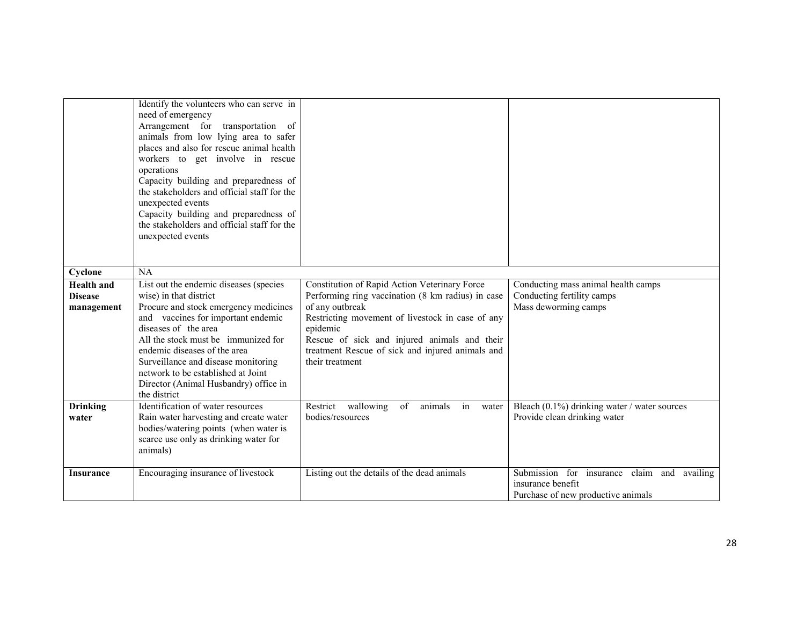|                                                   | Identify the volunteers who can serve in<br>need of emergency<br>Arrangement for transportation of<br>animals from low lying area to safer<br>places and also for rescue animal health<br>workers to get involve in rescue<br>operations<br>Capacity building and preparedness of<br>the stakeholders and official staff for the<br>unexpected events<br>Capacity building and preparedness of<br>the stakeholders and official staff for the<br>unexpected events |                                                                                                                                                                                                                                                                                                              |                                                                                                        |
|---------------------------------------------------|--------------------------------------------------------------------------------------------------------------------------------------------------------------------------------------------------------------------------------------------------------------------------------------------------------------------------------------------------------------------------------------------------------------------------------------------------------------------|--------------------------------------------------------------------------------------------------------------------------------------------------------------------------------------------------------------------------------------------------------------------------------------------------------------|--------------------------------------------------------------------------------------------------------|
| Cyclone                                           | NA                                                                                                                                                                                                                                                                                                                                                                                                                                                                 |                                                                                                                                                                                                                                                                                                              |                                                                                                        |
| <b>Health</b> and<br><b>Disease</b><br>management | List out the endemic diseases (species<br>wise) in that district<br>Procure and stock emergency medicines<br>and vaccines for important endemic<br>diseases of the area<br>All the stock must be immunized for<br>endemic diseases of the area<br>Surveillance and disease monitoring<br>network to be established at Joint<br>Director (Animal Husbandry) office in<br>the district                                                                               | Constitution of Rapid Action Veterinary Force<br>Performing ring vaccination (8 km radius) in case<br>of any outbreak<br>Restricting movement of livestock in case of any<br>epidemic<br>Rescue of sick and injured animals and their<br>treatment Rescue of sick and injured animals and<br>their treatment | Conducting mass animal health camps<br>Conducting fertility camps<br>Mass deworming camps              |
| <b>Drinking</b><br>water                          | Identification of water resources<br>Rain water harvesting and create water<br>bodies/watering points (when water is<br>scarce use only as drinking water for<br>animals)                                                                                                                                                                                                                                                                                          | wallowing<br>of<br>animals<br>Restrict<br>in<br>water<br>bodies/resources                                                                                                                                                                                                                                    | Bleach (0.1%) drinking water / water sources<br>Provide clean drinking water                           |
| <b>Insurance</b>                                  | Encouraging insurance of livestock                                                                                                                                                                                                                                                                                                                                                                                                                                 | Listing out the details of the dead animals                                                                                                                                                                                                                                                                  | Submission for insurance claim and availing<br>insurance benefit<br>Purchase of new productive animals |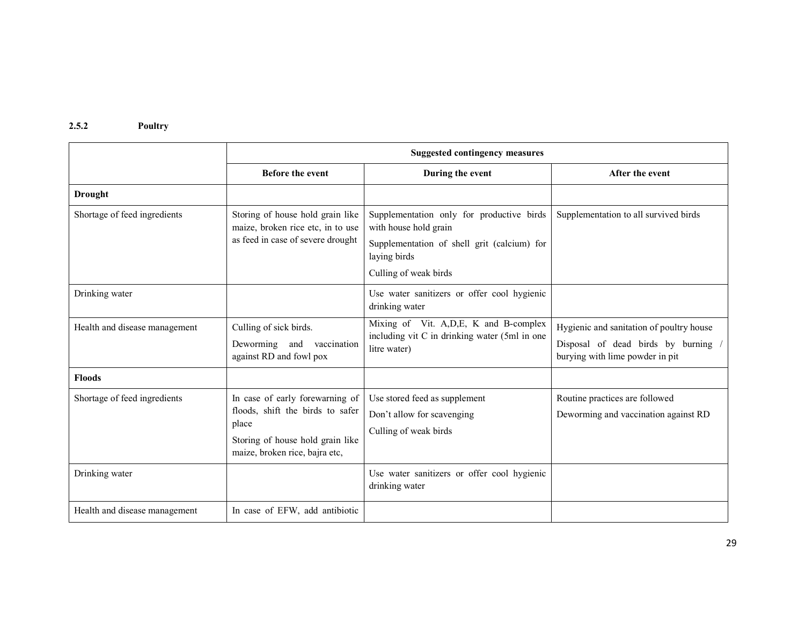# 2.5.2 Poultry

|                               | <b>Suggested contingency measures</b>                                                                                                              |                                                                                                                                                            |                                                                                                                  |  |
|-------------------------------|----------------------------------------------------------------------------------------------------------------------------------------------------|------------------------------------------------------------------------------------------------------------------------------------------------------------|------------------------------------------------------------------------------------------------------------------|--|
|                               | <b>Before the event</b>                                                                                                                            | During the event                                                                                                                                           | After the event                                                                                                  |  |
| <b>Drought</b>                |                                                                                                                                                    |                                                                                                                                                            |                                                                                                                  |  |
| Shortage of feed ingredients  | Storing of house hold grain like<br>maize, broken rice etc, in to use<br>as feed in case of severe drought                                         | Supplementation only for productive birds<br>with house hold grain<br>Supplementation of shell grit (calcium) for<br>laying birds<br>Culling of weak birds | Supplementation to all survived birds                                                                            |  |
| Drinking water                |                                                                                                                                                    | Use water sanitizers or offer cool hygienic<br>drinking water                                                                                              |                                                                                                                  |  |
| Health and disease management | Culling of sick birds.<br>Deworming and<br>vaccination<br>against RD and fowl pox                                                                  | Mixing of Vit. A, D, E, K and B-complex<br>including vit C in drinking water (5ml in one)<br>litre water)                                                  | Hygienic and sanitation of poultry house<br>Disposal of dead birds by burning<br>burying with lime powder in pit |  |
| <b>Floods</b>                 |                                                                                                                                                    |                                                                                                                                                            |                                                                                                                  |  |
| Shortage of feed ingredients  | In case of early forewarning of<br>floods, shift the birds to safer<br>place<br>Storing of house hold grain like<br>maize, broken rice, bajra etc, | Use stored feed as supplement<br>Don't allow for scavenging<br>Culling of weak birds                                                                       | Routine practices are followed<br>Deworming and vaccination against RD                                           |  |
| Drinking water                |                                                                                                                                                    | Use water sanitizers or offer cool hygienic<br>drinking water                                                                                              |                                                                                                                  |  |
| Health and disease management | In case of EFW, add antibiotic                                                                                                                     |                                                                                                                                                            |                                                                                                                  |  |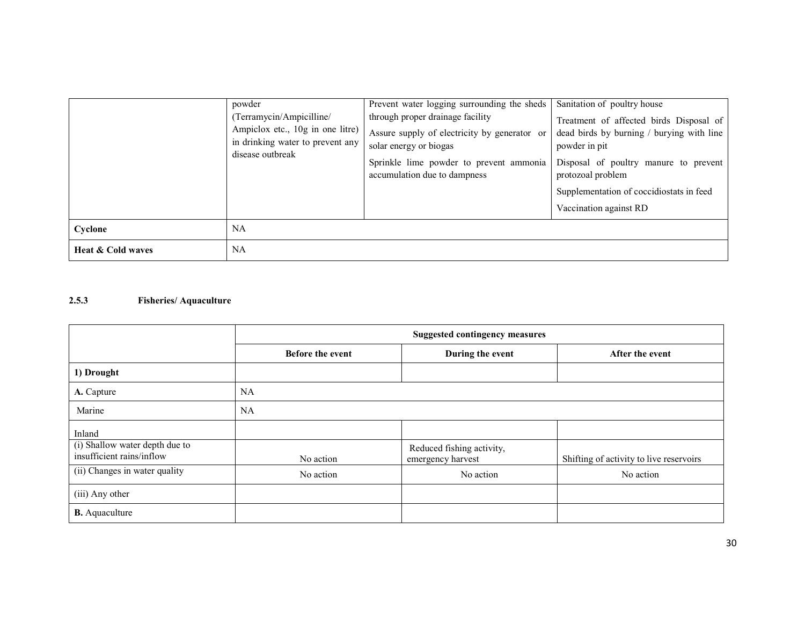|                              | powder<br>(Terramycin/Ampicilline/<br>Ampiclox etc., 10g in one litre)<br>in drinking water to prevent any<br>disease outbreak | Prevent water logging surrounding the sheds<br>through proper drainage facility<br>Assure supply of electricity by generator or<br>solar energy or biogas<br>Sprinkle lime powder to prevent ammonia<br>accumulation due to dampness | Sanitation of poultry house<br>Treatment of affected birds Disposal of<br>dead birds by burning / burying with line<br>powder in pit<br>Disposal of poultry manure to prevent<br>protozoal problem<br>Supplementation of coccidiostats in feed<br>Vaccination against RD |  |  |
|------------------------------|--------------------------------------------------------------------------------------------------------------------------------|--------------------------------------------------------------------------------------------------------------------------------------------------------------------------------------------------------------------------------------|--------------------------------------------------------------------------------------------------------------------------------------------------------------------------------------------------------------------------------------------------------------------------|--|--|
| Cyclone                      | NA                                                                                                                             |                                                                                                                                                                                                                                      |                                                                                                                                                                                                                                                                          |  |  |
| <b>Heat &amp; Cold waves</b> | <b>NA</b>                                                                                                                      |                                                                                                                                                                                                                                      |                                                                                                                                                                                                                                                                          |  |  |

### 2.5.3 Fisheries/ Aquaculture

|                                                             | <b>Suggested contingency measures</b> |                                                |                                         |  |
|-------------------------------------------------------------|---------------------------------------|------------------------------------------------|-----------------------------------------|--|
|                                                             | <b>Before the event</b>               | During the event                               | After the event                         |  |
| 1) Drought                                                  |                                       |                                                |                                         |  |
| A. Capture                                                  | <b>NA</b>                             |                                                |                                         |  |
| Marine                                                      | <b>NA</b>                             |                                                |                                         |  |
| Inland                                                      |                                       |                                                |                                         |  |
| (i) Shallow water depth due to<br>insufficient rains/inflow | No action                             | Reduced fishing activity,<br>emergency harvest | Shifting of activity to live reservoirs |  |
| (ii) Changes in water quality                               | No action                             | No action                                      | No action                               |  |
| (iii) Any other                                             |                                       |                                                |                                         |  |
| <b>B.</b> Aquaculture                                       |                                       |                                                |                                         |  |